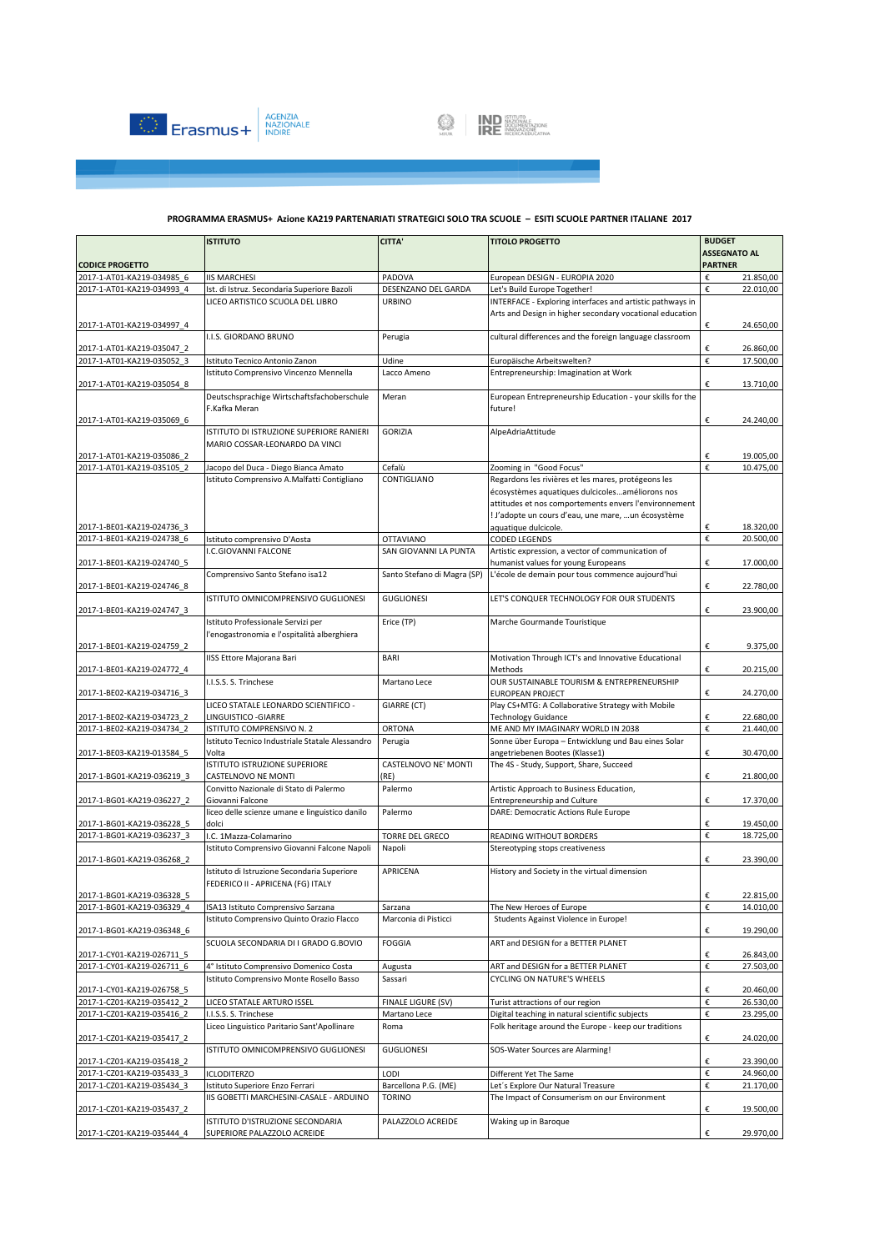



|                            | <b>ISTITUTO</b>                                               | <b>CITTA</b>                 | <b>TITOLO PROGETTO</b>                                    | <b>BUDGET</b>                         |           |
|----------------------------|---------------------------------------------------------------|------------------------------|-----------------------------------------------------------|---------------------------------------|-----------|
| <b>CODICE PROGETTO</b>     |                                                               |                              |                                                           | <b>ASSEGNATO AL</b><br><b>PARTNER</b> |           |
| 2017-1-AT01-KA219-034985 6 | <b>IIS MARCHESI</b>                                           | PADOVA                       | European DESIGN - EUROPIA 2020                            | €                                     | 21.850,00 |
| 2017-1-AT01-KA219-034993 4 | Ist. di Istruz. Secondaria Superiore Bazoli                   | DESENZANO DEL GARDA          | Let's Build Europe Together!                              | €                                     | 22.010.00 |
|                            | LICEO ARTISTICO SCUOLA DEL LIBRO                              | <b>URBINO</b>                | INTERFACE - Exploring interfaces and artistic pathways in |                                       |           |
|                            |                                                               |                              | Arts and Design in higher secondary vocational education  |                                       |           |
| 2017-1-AT01-KA219-034997 4 |                                                               |                              |                                                           | €                                     | 24.650,00 |
|                            | I.I.S. GIORDANO BRUNO                                         | Perugia                      | cultural differences and the foreign language classroom   |                                       |           |
| 2017-1-AT01-KA219-035047 2 |                                                               |                              |                                                           | €                                     | 26.860,00 |
| 2017-1-AT01-KA219-035052 3 | Istituto Tecnico Antonio Zanon                                | Udine                        | Europäische Arbeitswelten?                                | €                                     | 17.500,00 |
|                            | Istituto Comprensivo Vincenzo Mennella                        | Lacco Ameno                  | Entrepreneurship: Imagination at Work                     |                                       |           |
| 2017-1-AT01-KA219-035054 8 |                                                               |                              |                                                           | €                                     | 13.710,00 |
|                            | Deutschsprachige Wirtschaftsfachoberschule                    | Meran                        | European Entrepreneurship Education - your skills for the |                                       |           |
| 2017-1-AT01-KA219-035069 6 | F.Kafka Meran                                                 |                              | future!                                                   | €                                     | 24.240,00 |
|                            | ISTITUTO DI ISTRUZIONE SUPERIORE RANIERI                      | <b>GORIZIA</b>               | AlpeAdriaAttitude                                         |                                       |           |
|                            | MARIO COSSAR-LEONARDO DA VINCI                                |                              |                                                           |                                       |           |
| 2017-1-AT01-KA219-035086 2 |                                                               |                              |                                                           | €                                     | 19.005,00 |
| 2017-1-AT01-KA219-035105 2 | Jacopo del Duca - Diego Bianca Amato                          | Cefalù                       | Zooming in "Good Focus"                                   | €                                     | 10.475,00 |
|                            | Istituto Comprensivo A.Malfatti Contigliano                   | CONTIGLIANO                  | Regardons les rivières et les mares, protégeons les       |                                       |           |
|                            |                                                               |                              | écosystèmes aquatiques dulcicolesaméliorons nos           |                                       |           |
|                            |                                                               |                              | attitudes et nos comportements envers l'environnement     |                                       |           |
|                            |                                                               |                              | ! J'adopte un cours d'eau, une mare,  un écosystème       |                                       |           |
| 2017-1-BE01-KA219-024736 3 |                                                               |                              | aquatique dulcicole.                                      | €                                     | 18.320,00 |
| 2017-1-BE01-KA219-024738 6 | Istituto comprensivo D'Aosta                                  | <b>OTTAVIANO</b>             | <b>CODED LEGENDS</b>                                      | €                                     | 20.500,00 |
|                            | I.C.GIOVANNI FALCONE                                          | SAN GIOVANNI LA PUNTA        | Artistic expression, a vector of communication of         |                                       |           |
| 2017-1-BE01-KA219-024740 5 |                                                               |                              | humanist values for young Europeans                       | €                                     | 17.000,00 |
|                            | Comprensivo Santo Stefano isa12                               | Santo Stefano di Magra (SP)  | L'école de demain pour tous commence aujourd'hui          |                                       |           |
| 2017-1-BE01-KA219-024746_8 |                                                               |                              |                                                           | €                                     | 22.780,00 |
| 2017-1-BE01-KA219-024747 3 | ISTITUTO OMNICOMPRENSIVO GUGLIONESI                           | <b>GUGLIONESI</b>            | LET'S CONQUER TECHNOLOGY FOR OUR STUDENTS                 | €                                     | 23.900,00 |
|                            | Istituto Professionale Servizi per                            | Erice (TP)                   | Marche Gourmande Touristique                              |                                       |           |
|                            | l'enogastronomia e l'ospitalità alberghiera                   |                              |                                                           |                                       |           |
| 2017-1-BE01-KA219-024759 2 |                                                               |                              |                                                           | €                                     | 9.375,00  |
|                            | IISS Ettore Majorana Bari                                     | <b>BARI</b>                  | Motivation Through ICT's and Innovative Educational       |                                       |           |
| 2017-1-BE01-KA219-024772 4 |                                                               |                              | Methods                                                   | €                                     | 20.215,00 |
|                            | I.I.S.S. S. Trinchese                                         | Martano Lece                 | OUR SUSTAINABLE TOURISM & ENTREPRENEURSHIP                |                                       |           |
| 2017-1-BE02-KA219-034716 3 |                                                               |                              | EUROPEAN PROJECT                                          | €                                     | 24.270,00 |
|                            | LICEO STATALE LEONARDO SCIENTIFICO -                          | GIARRE (CT)                  | Play CS+MTG: A Collaborative Strategy with Mobile         |                                       |           |
| 2017-1-BE02-KA219-034723 2 | LINGUISTICO - GIARRE                                          |                              | <b>Technology Guidance</b>                                | €                                     | 22.680,00 |
| 2017-1-BE02-KA219-034734 2 | ISTITUTO COMPRENSIVO N. 2                                     | <b>ORTONA</b>                | ME AND MY IMAGINARY WORLD IN 2038                         | €                                     | 21.440,00 |
|                            | Istituto Tecnico Industriale Statale Alessandro               | Perugia                      | Sonne über Europa - Entwicklung und Bau eines Solar       |                                       |           |
| 2017-1-BE03-KA219-013584 5 | Volta                                                         |                              | angetriebenen Bootes (Klasse1)                            | €                                     | 30.470,00 |
|                            | ISTITUTO ISTRUZIONE SUPERIORE                                 | CASTELNOVO NE' MONTI<br>(RE) | The 4S - Study, Support, Share, Succeed                   | €                                     |           |
| 2017-1-BG01-KA219-036219 3 | CASTELNOVO NE MONTI<br>Convitto Nazionale di Stato di Palermo | Palermo                      | Artistic Approach to Business Education,                  |                                       | 21.800,00 |
| 2017-1-BG01-KA219-036227 2 | Giovanni Falcone                                              |                              | <b>Entrepreneurship and Culture</b>                       | €                                     | 17.370,00 |
|                            | liceo delle scienze umane e linguistico danilo                | Palermo                      | DARE: Democratic Actions Rule Europe                      |                                       |           |
| 2017-1-BG01-KA219-036228 5 | dolci                                                         |                              |                                                           | €                                     | 19.450,00 |
| 2017-1-BG01-KA219-036237 3 | I.C. 1Mazza-Colamarino                                        | <b>TORRE DEL GRECO</b>       | READING WITHOUT BORDERS                                   | €                                     | 18.725.00 |
|                            | Istituto Comprensivo Giovanni Falcone Napoli                  | Napoli                       | Stereotyping stops creativeness                           |                                       |           |
| 2017-1-BG01-KA219-036268 2 |                                                               |                              |                                                           | €                                     | 23.390,00 |
|                            | Istituto di Istruzione Secondaria Superiore                   | APRICENA                     | History and Society in the virtual dimension              |                                       |           |
|                            | FEDERICO II - APRICENA (FG) ITALY                             |                              |                                                           |                                       |           |
| 2017-1-BG01-KA219-036328 5 |                                                               |                              |                                                           | €                                     | 22.815,00 |
| 2017-1-BG01-KA219-036329 4 | ISA13 Istituto Comprensivo Sarzana                            | Sarzana                      | The New Heroes of Europe                                  |                                       | 14.010,00 |
|                            | Istituto Comprensivo Quinto Orazio Flacco                     | Marconia di Pisticci         | Students Against Violence in Europe!                      |                                       |           |
| 2017-1-BG01-KA219-036348 6 | SCUOLA SECONDARIA DI I GRADO G.BOVIO                          |                              | ART and DESIGN for a BETTER PLANET                        | €                                     | 19.290,00 |
| 2017-1-CY01-KA219-026711_5 |                                                               | FOGGIA                       |                                                           | €                                     | 26.843,00 |
| 2017-1-CY01-KA219-026711 6 | 4° Istituto Comprensivo Domenico Costa                        | Augusta                      | ART and DESIGN for a BETTER PLANET                        | €                                     | 27.503,00 |
|                            | Istituto Comprensivo Monte Rosello Basso                      | Sassari                      | CYCLING ON NATURE'S WHEELS                                |                                       |           |
| 2017-1-CY01-KA219-026758 5 |                                                               |                              |                                                           | €                                     | 20.460,00 |
| 2017-1-CZ01-KA219-035412 2 | LICEO STATALE ARTURO ISSEL                                    | <b>FINALE LIGURE (SV)</b>    | Turist attractions of our region                          | €                                     | 26.530,00 |
| 2017-1-CZ01-KA219-035416 2 | I.I.S.S. S. Trinchese                                         | Martano Lece                 | Digital teaching in natural scientific subjects           | €                                     | 23.295,00 |
|                            | Liceo Linguistico Paritario Sant'Apollinare                   | Roma                         | Folk heritage around the Europe - keep our traditions     |                                       |           |
| 2017-1-CZ01-KA219-035417 2 |                                                               |                              |                                                           | €                                     | 24.020,00 |
|                            | ISTITUTO OMNICOMPRENSIVO GUGLIONESI                           | <b>GUGLIONESI</b>            | SOS-Water Sources are Alarming!                           |                                       |           |
| 2017-1-CZ01-KA219-035418 2 |                                                               |                              |                                                           | €                                     | 23.390,00 |
| 2017-1-CZ01-KA219-035433_3 | <b>ICLODITERZO</b>                                            | LODI                         | Different Yet The Same                                    | €                                     | 24.960,00 |
| 2017-1-CZ01-KA219-035434 3 | Istituto Superiore Enzo Ferrari                               | Barcellona P.G. (ME)         | Let's Explore Our Natural Treasure                        | €                                     | 21.170,00 |
|                            | IIS GOBETTI MARCHESINI-CASALE - ARDUINO                       | <b>TORINO</b>                | The Impact of Consumerism on our Environment              |                                       |           |
| 2017-1-CZ01-KA219-035437 2 | ISTITUTO D'ISTRUZIONE SECONDARIA                              |                              |                                                           | €                                     | 19.500,00 |
| 2017-1-CZ01-KA219-035444 4 | SUPERIORE PALAZZOLO ACREIDE                                   | PALAZZOLO ACREIDE            | Waking up in Baroque                                      | €                                     | 29.970,00 |
|                            |                                                               |                              |                                                           |                                       |           |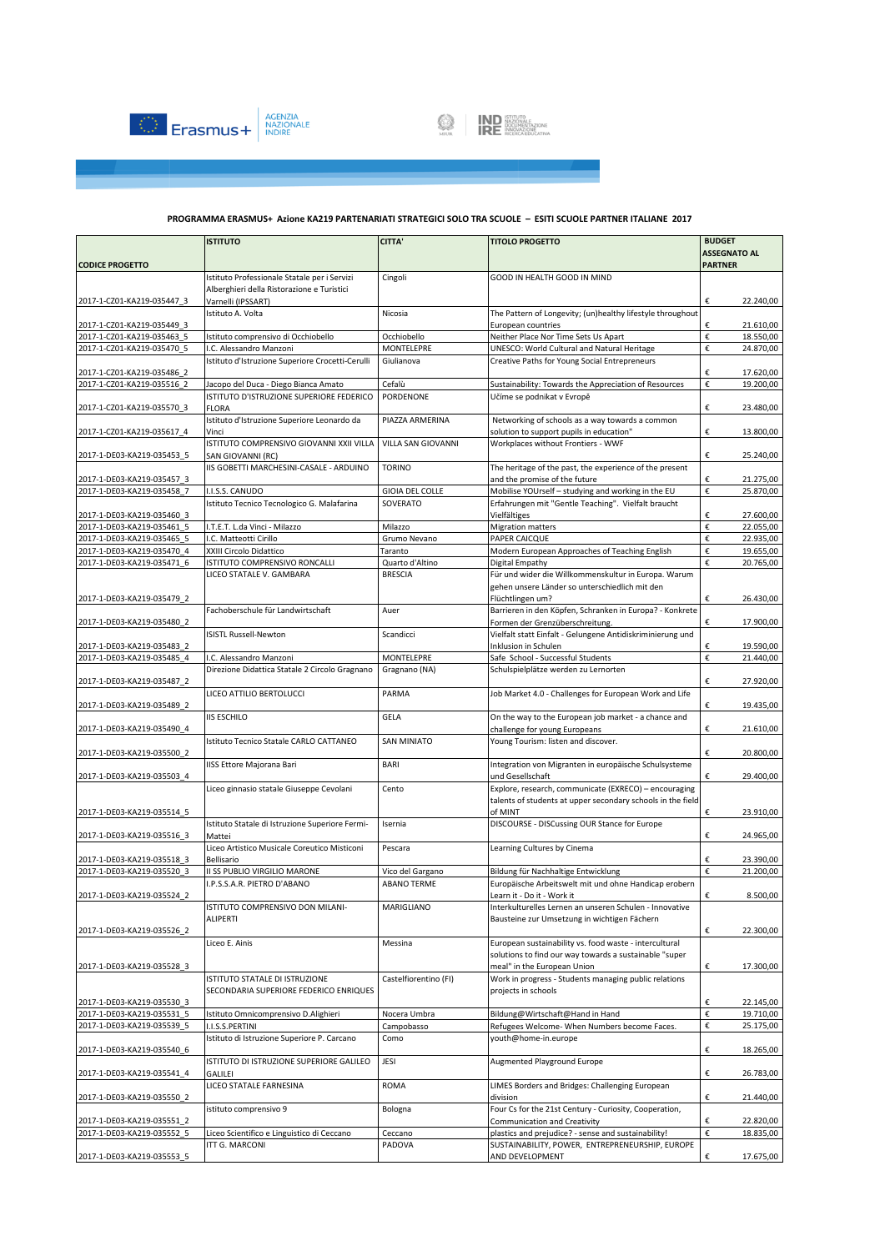



|                                                          | <b>ISTITUTO</b>                                                | <b>CITTA'</b>                     | <b>TITOLO PROGETTO</b>                                                                                 | <b>BUDGET</b>                         |
|----------------------------------------------------------|----------------------------------------------------------------|-----------------------------------|--------------------------------------------------------------------------------------------------------|---------------------------------------|
| <b>CODICE PROGETTO</b>                                   |                                                                |                                   |                                                                                                        | <b>ASSEGNATO AL</b><br><b>PARTNER</b> |
|                                                          | Istituto Professionale Statale per i Servizi                   | Cingoli                           | GOOD IN HEALTH GOOD IN MIND                                                                            |                                       |
|                                                          | Alberghieri della Ristorazione e Turistici                     |                                   |                                                                                                        |                                       |
| 2017-1-CZ01-KA219-035447 3                               | Varnelli (IPSSART)                                             |                                   |                                                                                                        | €<br>22.240,00                        |
|                                                          | Istituto A. Volta                                              | Nicosia                           | The Pattern of Longevity; (un)healthy lifestyle throughout                                             |                                       |
| 2017-1-CZ01-KA219-035449 3                               |                                                                |                                   | European countries                                                                                     | 21.610,00<br>€                        |
| 2017-1-CZ01-KA219-035463 5<br>2017-1-CZ01-KA219-035470 5 | Istituto comprensivo di Occhiobello<br>I.C. Alessandro Manzoni | Occhiobello<br>MONTELEPRE         | Neither Place Nor Time Sets Us Apart<br>UNESCO: World Cultural and Natural Heritage                    | €<br>18.550,00<br>€<br>24.870,00      |
|                                                          | Istituto d'Istruzione Superiore Crocetti-Cerulli               | Giulianova                        | Creative Paths for Young Social Entrepreneurs                                                          |                                       |
| 2017-1-CZ01-KA219-035486 2                               |                                                                |                                   |                                                                                                        | €<br>17.620,00                        |
| 2017-1-CZ01-KA219-035516 2                               | Jacopo del Duca - Diego Bianca Amato                           | Cefalù                            | Sustainability: Towards the Appreciation of Resources                                                  | €<br>19.200,00                        |
|                                                          | ISTITUTO D'ISTRUZIONE SUPERIORE FEDERICO                       | PORDENONE                         | Učíme se podnikat v Evropě                                                                             |                                       |
| 2017-1-CZ01-KA219-035570 3                               | <b>FLORA</b><br>Istituto d'Istruzione Superiore Leonardo da    | PIAZZA ARMERINA                   | Networking of schools as a way towards a common                                                        | €<br>23.480,00                        |
| 2017-1-CZ01-KA219-035617 4                               | Vinci                                                          |                                   | solution to support pupils in education"                                                               | €<br>13.800,00                        |
|                                                          | ISTITUTO COMPRENSIVO GIOVANNI XXII VILLA                       | VILLA SAN GIOVANNI                | Workplaces without Frontiers - WWF                                                                     |                                       |
| 2017-1-DE03-KA219-035453 5                               | SAN GIOVANNI (RC)                                              |                                   |                                                                                                        | €<br>25.240,00                        |
|                                                          | IIS GOBETTI MARCHESINI-CASALE - ARDUINO                        | <b>TORINO</b>                     | The heritage of the past, the experience of the present                                                |                                       |
| 2017-1-DE03-KA219-035457 3<br>2017-1-DE03-KA219-035458 7 | I.I.S.S. CANUDO                                                | GIOIA DEL COLLE                   | and the promise of the future<br>Mobilise YOUrself - studying and working in the EU                    | €<br>21.275,00<br>€<br>25.870,00      |
|                                                          | Istituto Tecnico Tecnologico G. Malafarina                     | SOVERATO                          | Erfahrungen mit "Gentle Teaching". Vielfalt braucht                                                    |                                       |
| 2017-1-DE03-KA219-035460 3                               |                                                                |                                   | Vielfältiges                                                                                           | €<br>27.600,00                        |
| 2017-1-DE03-KA219-035461 5                               | I.T.E.T. L.da Vinci - Milazzo                                  | Milazzo                           | <b>Migration matters</b>                                                                               | €<br>22.055,00                        |
| 2017-1-DE03-KA219-035465 5                               | I.C. Matteotti Cirillo                                         | Grumo Nevano                      | PAPER CAICQUE                                                                                          | €<br>22.935,00                        |
| 2017-1-DE03-KA219-035470 4                               | XXIII Circolo Didattico                                        | Taranto                           | Modern European Approaches of Teaching English                                                         | €<br>19.655,00                        |
| 2017-1-DE03-KA219-035471 6                               | ISTITUTO COMPRENSIVO RONCALLI<br>LICEO STATALE V. GAMBARA      | Quarto d'Altino<br><b>BRESCIA</b> | Digital Empathy<br>Für und wider die Willkommenskultur in Europa. Warum                                | €<br>20.765,00                        |
|                                                          |                                                                |                                   | gehen unsere Länder so unterschiedlich mit den                                                         |                                       |
| 2017-1-DE03-KA219-035479 2                               |                                                                |                                   | Flüchtlingen um?                                                                                       | €<br>26.430,00                        |
|                                                          | Fachoberschule für Landwirtschaft                              | Auer                              | Barrieren in den Köpfen, Schranken in Europa? - Konkrete                                               |                                       |
| 2017-1-DE03-KA219-035480 2                               |                                                                |                                   | Formen der Grenzüberschreitung.                                                                        | €<br>17.900,00                        |
| 2017-1-DE03-KA219-035483 2                               | <b>ISISTL Russell-Newton</b>                                   | Scandicci                         | Vielfalt statt Einfalt - Gelungene Antidiskriminierung und                                             | 19.590.00<br>€                        |
| 2017-1-DE03-KA219-035485 4                               | I.C. Alessandro Manzoni                                        | MONTELEPRE                        | Inklusion in Schulen<br>Safe School - Successful Students                                              | €<br>21.440,00                        |
|                                                          | Direzione Didattica Statale 2 Circolo Gragnano                 | Gragnano (NA)                     | Schulspielplätze werden zu Lernorten                                                                   |                                       |
| 2017-1-DE03-KA219-035487 2                               |                                                                |                                   |                                                                                                        | €<br>27.920,00                        |
|                                                          | LICEO ATTILIO BERTOLUCCI                                       | PARMA                             | Job Market 4.0 - Challenges for European Work and Life                                                 |                                       |
| 2017-1-DE03-KA219-035489 2                               | <b>IIS ESCHILO</b>                                             | GELA                              | On the way to the European job market - a chance and                                                   | €<br>19.435,00                        |
| 2017-1-DE03-KA219-035490 4                               |                                                                |                                   | challenge for young Europeans                                                                          | €<br>21.610,00                        |
|                                                          | Istituto Tecnico Statale CARLO CATTANEO                        | <b>SAN MINIATO</b>                | Young Tourism: listen and discover.                                                                    |                                       |
| 2017-1-DE03-KA219-035500 2                               |                                                                |                                   |                                                                                                        | €<br>20.800,00                        |
|                                                          | IISS Ettore Majorana Bari                                      | BARI                              | Integration von Migranten in europäische Schulsysteme                                                  |                                       |
| 2017-1-DE03-KA219-035503 4                               |                                                                | Cento                             | und Gesellschaft<br>Explore, research, communicate (EXRECO) - encouraging                              | €<br>29.400,00                        |
|                                                          | Liceo ginnasio statale Giuseppe Cevolani                       |                                   | talents of students at upper secondary schools in the field                                            |                                       |
| 2017-1-DE03-KA219-035514 5                               |                                                                |                                   | of MINT                                                                                                | €<br>23.910,00                        |
|                                                          | Istituto Statale di Istruzione Superiore Fermi-                | Isernia                           | DISCOURSE - DISCussing OUR Stance for Europe                                                           |                                       |
| 2017-1-DE03-KA219-035516_3                               | Mattei                                                         |                                   |                                                                                                        | €<br>24.965,00                        |
| 2017-1-DE03-KA219-035518 3                               | Liceo Artistico Musicale Coreutico Misticoni<br>Bellisario     | Pescara                           | Learning Cultures by Cinema                                                                            | 23.390,00<br>€                        |
| 2017-1-DE03-KA219-035520_3                               | II SS PUBLIO VIRGILIO MARONE                                   | Vico del Gargano                  | Bildung für Nachhaltige Entwicklung                                                                    | €<br>21.200,00                        |
|                                                          | I.P.S.S.A.R. PIETRO D'ABANO                                    | <b>ABANO TERME</b>                | Europäische Arbeitswelt mit und ohne Handicap erobern                                                  |                                       |
| 2017-1-DE03-KA219-035524 2                               |                                                                |                                   | Learn it - Do it - Work it                                                                             | €<br>8.500,00                         |
|                                                          | ISTITUTO COMPRENSIVO DON MILANI-                               | MARIGLIANO                        | Interkulturelles Lernen an unseren Schulen - Innovative                                                |                                       |
| 2017-1-DE03-KA219-035526 2                               | <b>ALIPERTI</b>                                                |                                   | Bausteine zur Umsetzung in wichtigen Fächern                                                           | €<br>22.300,00                        |
|                                                          | Liceo E. Ainis                                                 | Messina                           | European sustainability vs. food waste - intercultural                                                 |                                       |
|                                                          |                                                                |                                   | solutions to find our way towards a sustainable "super                                                 |                                       |
| 2017-1-DE03-KA219-035528 3                               |                                                                |                                   | meal" in the European Union                                                                            | €<br>17.300,00                        |
|                                                          | ISTITUTO STATALE DI ISTRUZIONE                                 | Castelfiorentino (FI)             | Work in progress - Students managing public relations                                                  |                                       |
| 2017-1-DE03-KA219-035530 3                               | SECONDARIA SUPERIORE FEDERICO ENRIQUES                         |                                   | projects in schools                                                                                    | €<br>22.145,00                        |
| 2017-1-DE03-KA219-035531 5                               | Istituto Omnicomprensivo D.Alighieri                           | Nocera Umbra                      | Bildung@Wirtschaft@Hand in Hand                                                                        | €<br>19.710,00                        |
| 2017-1-DE03-KA219-035539 5                               | I.I.S.S.PERTINI                                                | Campobasso                        | Refugees Welcome- When Numbers become Faces.                                                           | €<br>25.175,00                        |
|                                                          | Istituto di Istruzione Superiore P. Carcano                    | Como                              | youth@home-in.europe                                                                                   |                                       |
| 2017-1-DE03-KA219-035540 6                               |                                                                |                                   |                                                                                                        | €<br>18.265,00                        |
|                                                          | ISTITUTO DI ISTRUZIONE SUPERIORE GALILEO                       | JESI                              | Augmented Playground Europe                                                                            |                                       |
| 2017-1-DE03-KA219-035541 4                               | GALILEI<br>LICEO STATALE FARNESINA                             | ROMA                              | LIMES Borders and Bridges: Challenging European                                                        | €<br>26.783,00                        |
| 2017-1-DE03-KA219-035550 2                               |                                                                |                                   | division                                                                                               | €<br>21.440,00                        |
|                                                          | istituto comprensivo 9                                         | Bologna                           | Four Cs for the 21st Century - Curiosity, Cooperation,                                                 |                                       |
| 2017-1-DE03-KA219-035551 2                               |                                                                |                                   | <b>Communication and Creativity</b>                                                                    | €<br>22.820,00                        |
| 2017-1-DE03-KA219-035552 5                               | Liceo Scientifico e Linguistico di Ceccano<br>ITT G. MARCONI   | Ceccano<br>PADOVA                 | plastics and prejudice? - sense and sustainability!<br>SUSTAINABILITY, POWER, ENTREPRENEURSHIP, EUROPE | €<br>18.835,00                        |
| 2017-1-DE03-KA219-035553 5                               |                                                                |                                   | AND DEVELOPMENT                                                                                        | €<br>17.675,00                        |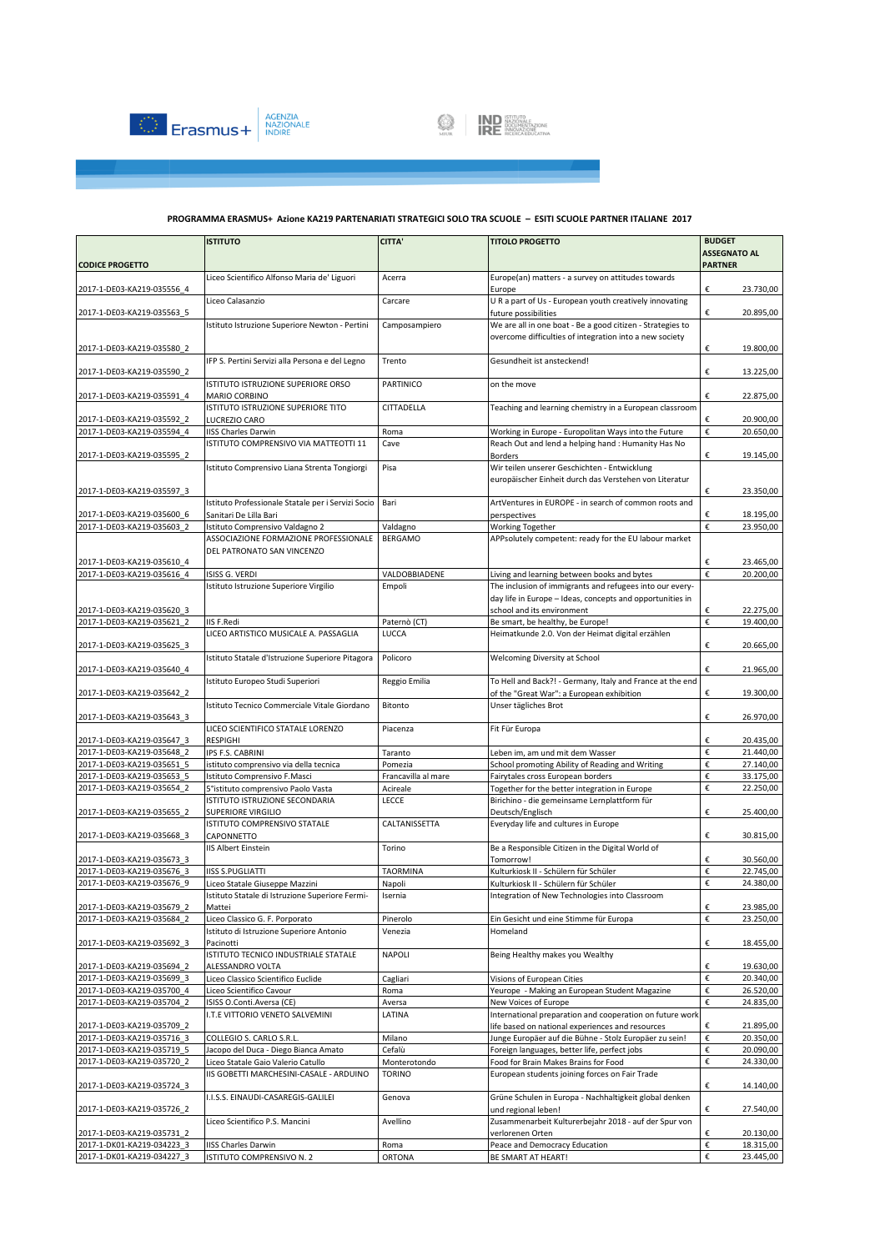

|                            | <b>ISTITUTO</b>                                                                   | CITTA'              | <b>TITOLO PROGETTO</b>                                                                                      | <b>BUDGET</b>                        |
|----------------------------|-----------------------------------------------------------------------------------|---------------------|-------------------------------------------------------------------------------------------------------------|--------------------------------------|
|                            |                                                                                   |                     |                                                                                                             | <b>ASSEGNATO AL</b>                  |
| <b>CODICE PROGETTO</b>     |                                                                                   |                     |                                                                                                             | <b>PARTNER</b>                       |
| 2017-1-DE03-KA219-035556 4 | Liceo Scientifico Alfonso Maria de' Liguori                                       | Acerra              | Europe(an) matters - a survey on attitudes towards<br>Europe                                                | €<br>23.730,00                       |
| 2017-1-DE03-KA219-035563 5 | Liceo Calasanzio                                                                  | Carcare             | U R a part of Us - European youth creatively innovating<br>future possibilities                             | €<br>20.895,00                       |
|                            | Istituto Istruzione Superiore Newton - Pertini                                    | Camposampiero       | We are all in one boat - Be a good citizen - Strategies to                                                  |                                      |
| 2017-1-DE03-KA219-035580 2 |                                                                                   |                     | overcome difficulties of integration into a new society                                                     | €<br>19.800,00                       |
| 2017-1-DE03-KA219-035590 2 | IFP S. Pertini Servizi alla Persona e del Legno                                   | Trento              | Gesundheit ist ansteckend!                                                                                  | €<br>13.225,00                       |
|                            | ISTITUTO ISTRUZIONE SUPERIORE ORSO                                                | PARTINICO           | on the move                                                                                                 | €                                    |
| 2017-1-DE03-KA219-035591 4 | MARIO CORBINO<br>ISTITUTO ISTRUZIONE SUPERIORE TITO                               | CITTADELLA          | Teaching and learning chemistry in a European classroom                                                     | 22.875,00                            |
| 2017-1-DE03-KA219-035592 2 | LUCREZIO CARO                                                                     |                     |                                                                                                             | €<br>20.900.00<br>€                  |
| 2017-1-DE03-KA219-035594 4 | <b>IISS Charles Darwin</b><br>ISTITUTO COMPRENSIVO VIA MATTEOTTI 11               | Roma<br>Cave        | Working in Europe - Europolitan Ways into the Future<br>Reach Out and lend a helping hand : Humanity Has No | 20.650,00                            |
| 2017-1-DE03-KA219-035595 2 |                                                                                   |                     | <b>Borders</b>                                                                                              | €<br>19.145,00                       |
|                            | Istituto Comprensivo Liana Strenta Tongiorgi                                      | Pisa                | Wir teilen unserer Geschichten - Entwicklung<br>europäischer Einheit durch das Verstehen von Literatur      |                                      |
| 2017-1-DE03-KA219-035597 3 |                                                                                   |                     |                                                                                                             | €<br>23.350,00                       |
|                            | Istituto Professionale Statale per i Servizi Socio                                | Bari                | ArtVentures in EUROPE - in search of common roots and                                                       |                                      |
| 2017-1-DE03-KA219-035600 6 | Sanitari De Lilla Bari                                                            |                     | perspectives                                                                                                | 18.195,00<br>€                       |
| 2017-1-DE03-KA219-035603 2 | Istituto Comprensivo Valdagno 2                                                   | Valdagno            | Working Together                                                                                            | €<br>23.950,00                       |
|                            | ASSOCIAZIONE FORMAZIONE PROFESSIONALE                                             | <b>BERGAMO</b>      | APPsolutely competent: ready for the EU labour market                                                       |                                      |
|                            | DEL PATRONATO SAN VINCENZO                                                        |                     |                                                                                                             |                                      |
| 2017-1-DE03-KA219-035610 4 |                                                                                   |                     |                                                                                                             | €<br>23.465,00                       |
| 2017-1-DE03-KA219-035616 4 | ISISS G. VERDI                                                                    | VALDOBBIADENE       | Living and learning between books and bytes                                                                 | €<br>20.200.00                       |
|                            | Istituto Istruzione Superiore Virgilio                                            | Empoli              | The inclusion of immigrants and refugees into our every-                                                    |                                      |
| 2017-1-DE03-KA219-035620 3 |                                                                                   |                     | day life in Europe - Ideas, concepts and opportunities in<br>school and its environment                     | €<br>22.275,00                       |
| 2017-1-DE03-KA219-035621 2 | IIS F.Redi                                                                        | Paternò (CT)        | Be smart, be healthy, be Europe!                                                                            | €<br>19.400,00                       |
|                            | LICEO ARTISTICO MUSICALE A. PASSAGLIA                                             | LUCCA               | Heimatkunde 2.0. Von der Heimat digital erzählen                                                            |                                      |
| 2017-1-DE03-KA219-035625 3 | Istituto Statale d'Istruzione Superiore Pitagora                                  | Policoro            | Welcoming Diversity at School                                                                               | €<br>20.665,00                       |
| 2017-1-DE03-KA219-035640 4 |                                                                                   |                     |                                                                                                             | €<br>21.965,00                       |
| 2017-1-DE03-KA219-035642 2 | Istituto Europeo Studi Superiori                                                  | Reggio Emilia       | To Hell and Back?! - Germany, Italy and France at the end<br>of the "Great War": a European exhibition      | €<br>19.300,00                       |
| 2017-1-DE03-KA219-035643 3 | Istituto Tecnico Commerciale Vitale Giordano                                      | Bitonto             | Unser tägliches Brot                                                                                        | €<br>26.970,00                       |
| 2017-1-DE03-KA219-035647 3 | LICEO SCIENTIFICO STATALE LORENZO<br><b>RESPIGHI</b>                              | Piacenza            | Fit Für Europa                                                                                              | €<br>20.435,00                       |
| 2017-1-DE03-KA219-035648 2 | IPS F.S. CABRINI                                                                  | Taranto             | Leben im, am und mit dem Wasser                                                                             | €<br>21.440,00                       |
| 2017-1-DE03-KA219-035651 5 | istituto comprensivo via della tecnica                                            | Pomezia             | School promoting Ability of Reading and Writing                                                             | €<br>27.140,00                       |
| 2017-1-DE03-KA219-035653 5 | Istituto Comprensivo F.Masci                                                      | Francavilla al mare | Fairytales cross European borders                                                                           | €<br>33.175,00                       |
| 2017-1-DE03-KA219-035654 2 | 5°istituto comprensivo Paolo Vasta<br>ISTITUTO ISTRUZIONE SECONDARIA              | Acireale<br>LECCE   | Together for the better integration in Europe                                                               | €<br>22.250,00                       |
| 2017-1-DE03-KA219-035655 2 | SUPERIORE VIRGILIO                                                                |                     | Birichino - die gemeinsame Lernplattform für<br>Deutsch/Englisch                                            | €<br>25.400,00                       |
| 2017-1-DE03-KA219-035668_3 | ISTITUTO COMPRENSIVO STATALE<br>CAPONNETTO                                        | CALTANISSETTA       | Everyday life and cultures in Europe                                                                        | €<br>30.815,00                       |
|                            | <b>IIS Albert Einstein</b>                                                        | Torino              | Be a Responsible Citizen in the Digital World of                                                            |                                      |
| 2017-1-DE03-KA219-035673 3 |                                                                                   |                     | Tomorrow!                                                                                                   | €<br>30.560,00                       |
| 2017-1-DE03-KA219-035676 3 | <b>IISS S.PUGLIATTI</b>                                                           | <b>TAORMINA</b>     | Kulturkiosk II - Schülern für Schüler<br>Kulturkiosk II - Schülern für Schüler                              | €<br>22.745,00<br>€                  |
| 2017-1-DE03-KA219-035676 9 | Liceo Statale Giuseppe Mazzini<br>Istituto Statale di Istruzione Superiore Fermi- | Napoli<br>Isernia   | Integration of New Technologies into Classroom                                                              | 24.380,00                            |
| 2017-1-DE03-KA219-035679 2 | Mattei                                                                            |                     |                                                                                                             | €<br>23.985,00                       |
| 2017-1-DE03-KA219-035684 2 | Liceo Classico G. F. Porporato                                                    | Pinerolo            | Ein Gesicht und eine Stimme für Europa                                                                      | €<br>23.250,00                       |
| 2017-1-DE03-KA219-035692 3 | Istituto di Istruzione Superiore Antonio<br>Pacinotti                             | Venezia             | Homeland                                                                                                    | €<br>18.455,00                       |
|                            | ISTITUTO TECNICO INDUSTRIALE STATALE                                              | <b>NAPOLI</b>       | Being Healthy makes you Wealthy                                                                             |                                      |
| 2017-1-DE03-KA219-035694 2 | ALESSANDRO VOLTA                                                                  |                     |                                                                                                             | €<br>19.630,00                       |
| 2017-1-DE03-KA219-035699 3 | Liceo Classico Scientifico Euclide                                                | Cagliari            | Visions of European Cities                                                                                  | €<br>20.340,00                       |
| 2017-1-DE03-KA219-035700 4 | Liceo Scientifico Cavour                                                          | Roma                | Yeurope - Making an European Student Magazine                                                               | $\boldsymbol{\epsilon}$<br>26.520,00 |
| 2017-1-DE03-KA219-035704 2 | ISISS O.Conti.Aversa (CE)<br>I.T.E VITTORIO VENETO SALVEMINI                      | Aversa<br>LATINA    | New Voices of Europe<br>International preparation and cooperation on future work                            | €<br>24.835,00                       |
| 2017-1-DE03-KA219-035709 2 |                                                                                   |                     | life based on national experiences and resources                                                            | €<br>21.895,00                       |
| 2017-1-DE03-KA219-035716 3 | COLLEGIO S. CARLO S.R.L.                                                          | Milano              | Junge Europäer auf die Bühne - Stolz Europäer zu sein!                                                      | €<br>20.350,00                       |
| 2017-1-DE03-KA219-035719 5 | Jacopo del Duca - Diego Bianca Amato                                              | Cefalù              | Foreign languages, better life, perfect jobs                                                                | €<br>20.090,00                       |
| 2017-1-DE03-KA219-035720 2 | Liceo Statale Gaio Valerio Catullo                                                | Monterotondo        | Food for Brain Makes Brains for Food                                                                        | €<br>24.330,00                       |
| 2017-1-DE03-KA219-035724_3 | IIS GOBETTI MARCHESINI-CASALE - ARDUINO                                           | <b>TORINO</b>       | European students joining forces on Fair Trade                                                              | €<br>14.140,00                       |
|                            | I.I.S.S. EINAUDI-CASAREGIS-GALILEI                                                | Genova              | Grüne Schulen in Europa - Nachhaltigkeit global denken                                                      |                                      |
| 2017-1-DE03-KA219-035726 2 | Liceo Scientifico P.S. Mancini                                                    | Avellino            | und regional leben!<br>Zusammenarbeit Kulturerbejahr 2018 - auf der Spur von                                | €<br>27.540,00                       |
| 2017-1-DE03-KA219-035731 2 |                                                                                   |                     | verlorenen Orten                                                                                            | €<br>20.130,00                       |
| 2017-1-DK01-KA219-034223 3 | <b>IISS Charles Darwin</b>                                                        | Roma                | Peace and Democracy Education                                                                               | $\boldsymbol{\epsilon}$<br>18.315,00 |
| 2017-1-DK01-KA219-034227 3 | ISTITUTO COMPRENSIVO N. 2                                                         | <b>ORTONA</b>       | BE SMART AT HEART!                                                                                          | €<br>23.445,00                       |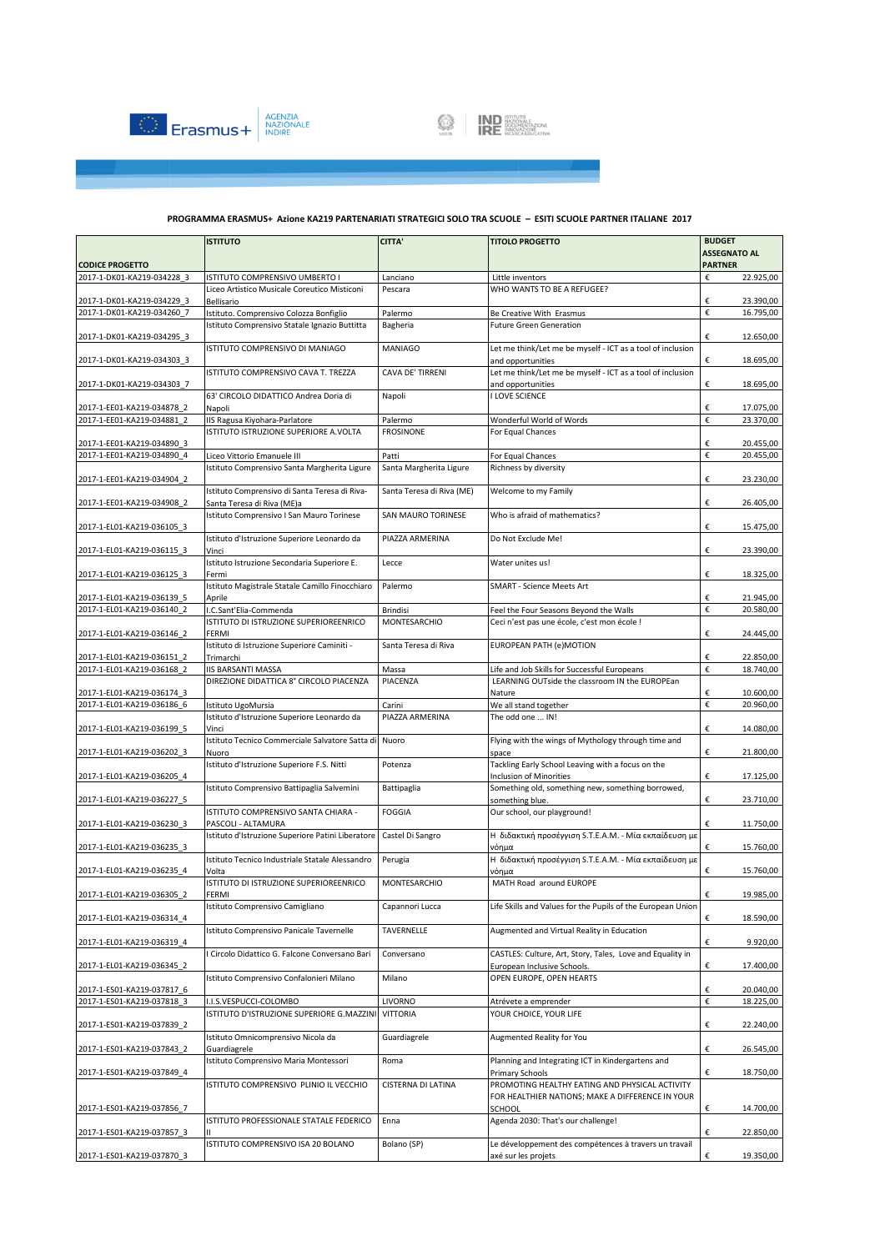



|                            | <b>ISTITUTO</b>                                                                | <b>CITTA'</b>             | <b>TITOLO PROGETTO</b>                                               | <b>BUDGET</b>       |
|----------------------------|--------------------------------------------------------------------------------|---------------------------|----------------------------------------------------------------------|---------------------|
|                            |                                                                                |                           |                                                                      | <b>ASSEGNATO AL</b> |
| <b>CODICE PROGETTO</b>     |                                                                                |                           |                                                                      | <b>PARTNER</b>      |
| 2017-1-DK01-KA219-034228 3 | ISTITUTO COMPRENSIVO UMBERTO I<br>Liceo Artistico Musicale Coreutico Misticoni | Lanciano<br>Pescara       | Little inventors<br>WHO WANTS TO BE A REFUGEE?                       | €<br>22.925,00      |
| 2017-1-DK01-KA219-034229 3 | Bellisario                                                                     |                           |                                                                      | €<br>23.390,00      |
| 2017-1-DK01-KA219-034260 7 | Istituto. Comprensivo Colozza Bonfiglio                                        | Palermo                   | Be Creative With Erasmus                                             | €<br>16.795,00      |
|                            | Istituto Comprensivo Statale Ignazio Buttitta                                  | Bagheria                  | <b>Future Green Generation</b>                                       |                     |
| 2017-1-DK01-KA219-034295 3 |                                                                                |                           |                                                                      | €<br>12.650,00      |
|                            | ISTITUTO COMPRENSIVO DI MANIAGO                                                | <b>MANIAGO</b>            | Let me think/Let me be myself - ICT as a tool of inclusion           |                     |
| 2017-1-DK01-KA219-034303 3 |                                                                                |                           | and opportunities                                                    | €<br>18.695,00      |
|                            | ISTITUTO COMPRENSIVO CAVA T. TREZZA                                            | CAVA DE' TIRRENI          | Let me think/Let me be myself - ICT as a tool of inclusion           |                     |
| 2017-1-DK01-KA219-034303 7 |                                                                                |                           | and opportunities<br><b>I LOVE SCIENCE</b>                           | €<br>18.695,00      |
| 2017-1-EE01-KA219-034878 2 | 63' CIRCOLO DIDATTICO Andrea Doria di<br>Napoli                                | Napoli                    |                                                                      | €<br>17.075,00      |
| 2017-1-EE01-KA219-034881 2 | IIS Ragusa Kiyohara-Parlatore                                                  | Palermo                   | Wonderful World of Words                                             | €<br>23.370,00      |
|                            | ISTITUTO ISTRUZIONE SUPERIORE A.VOLTA                                          | <b>FROSINONE</b>          | For Equal Chances                                                    |                     |
| 2017-1-EE01-KA219-034890 3 |                                                                                |                           |                                                                      | €<br>20.455,00      |
| 2017-1-EE01-KA219-034890 4 | Liceo Vittorio Emanuele III                                                    | Patti                     | For Equal Chances                                                    | €<br>20.455,00      |
|                            | Istituto Comprensivo Santa Margherita Ligure                                   | Santa Margherita Ligure   | Richness by diversity                                                |                     |
| 2017-1-EE01-KA219-034904_2 |                                                                                |                           |                                                                      | €<br>23.230,00      |
| 2017-1-EE01-KA219-034908 2 | Istituto Comprensivo di Santa Teresa di Riva-<br>Santa Teresa di Riva (ME)a    | Santa Teresa di Riva (ME) | Welcome to my Family                                                 | €<br>26.405,00      |
|                            | Istituto Comprensivo I San Mauro Torinese                                      | SAN MAURO TORINESE        | Who is afraid of mathematics?                                        |                     |
| 2017-1-EL01-KA219-036105 3 |                                                                                |                           |                                                                      | €<br>15.475,00      |
|                            | Istituto d'Istruzione Superiore Leonardo da                                    | PIAZZA ARMERINA           | Do Not Exclude Me!                                                   |                     |
| 2017-1-EL01-KA219-036115 3 | Vinci                                                                          |                           |                                                                      | €<br>23.390,00      |
|                            | Istituto Istruzione Secondaria Superiore E.                                    | Lecce                     | Water unites us!                                                     |                     |
| 2017-1-EL01-KA219-036125_3 | Fermi                                                                          |                           |                                                                      | €<br>18.325,00      |
| 2017-1-EL01-KA219-036139 5 | Istituto Magistrale Statale Camillo Finocchiaro                                | Palermo                   | <b>SMART - Science Meets Art</b>                                     | €<br>21.945,00      |
| 2017-1-EL01-KA219-036140 2 | Aprile<br>I.C.Sant'Elia-Commenda                                               | Brindisi                  | Feel the Four Seasons Beyond the Walls                               | €<br>20.580,00      |
|                            | ISTITUTO DI ISTRUZIONE SUPERIOREENRICO                                         | MONTESARCHIO              | Ceci n'est pas une école, c'est mon école !                          |                     |
| 2017-1-EL01-KA219-036146 2 | FERMI                                                                          |                           |                                                                      | €<br>24.445,00      |
|                            | Istituto di Istruzione Superiore Caminiti -                                    | Santa Teresa di Riva      | EUROPEAN PATH (e)MOTION                                              |                     |
| 2017-1-EL01-KA219-036151 2 | Trimarchi                                                                      |                           |                                                                      | €<br>22.850,00      |
| 2017-1-EL01-KA219-036168 2 | <b>IIS BARSANTI MASSA</b>                                                      | Massa                     | Life and Job Skills for Successful Europeans                         | €<br>18.740,00      |
|                            | DIREZIONE DIDATTICA 8° CIRCOLO PIACENZA                                        | PIACENZA                  | LEARNING OUTside the classroom IN the EUROPEan                       | €<br>10.600,00      |
| 2017-1-EL01-KA219-036174_3 |                                                                                |                           | Nature                                                               |                     |
|                            |                                                                                |                           |                                                                      |                     |
| 2017-1-EL01-KA219-036186 6 | Istituto UgoMursia                                                             | Carini                    | We all stand together                                                | €<br>20.960,00      |
| 2017-1-EL01-KA219-036199 5 | Istituto d'Istruzione Superiore Leonardo da<br>Vinci                           | PIAZZA ARMERINA           | The odd one  IN!                                                     | €<br>14.080,00      |
|                            | Istituto Tecnico Commerciale Salvatore Satta di                                | Nuoro                     | Flying with the wings of Mythology through time and                  |                     |
| 2017-1-EL01-KA219-036202 3 | Nuoro                                                                          |                           | space                                                                | €<br>21.800,00      |
|                            | Istituto d'Istruzione Superiore F.S. Nitti                                     | Potenza                   | Tackling Early School Leaving with a focus on the                    |                     |
| 2017-1-EL01-KA219-036205 4 |                                                                                |                           | <b>Inclusion of Minorities</b>                                       | €<br>17.125,00      |
|                            | Istituto Comprensivo Battipaglia Salvemini                                     | Battipaglia               | Something old, something new, something borrowed,                    |                     |
| 2017-1-EL01-KA219-036227 5 | ISTITUTO COMPRENSIVO SANTA CHIARA -                                            | <b>FOGGIA</b>             | something blue.<br>Our school, our playground!                       | €<br>23.710,00      |
| 2017-1-EL01-KA219-036230 3 | PASCOLI - ALTAMURA                                                             |                           |                                                                      | €<br>11.750,00      |
|                            | Istituto d'Istruzione Superiore Patini Liberatore                              | Castel Di Sangro          | Η διδακτική προσέγγιση S.T.E.A.M. - Μία εκπαίδευση με                |                     |
| 2017-1-EL01-KA219-036235 3 |                                                                                |                           | νόημα                                                                | €<br>15.760,00      |
|                            | Istituto Tecnico Industriale Statale Alessandro                                | Perugia                   | Η διδακτική προσέγγιση S.T.E.A.M. - Μία εκπαίδευση με                |                     |
| 2017-1-EL01-KA219-036235 4 | Volta                                                                          |                           | νόημα                                                                | €<br>15.760,00      |
| 2017-1-EL01-KA219-036305 2 | ISTITUTO DI ISTRUZIONE SUPERIOREENRICO                                         | MONTESARCHIO              | MATH Road around EUROPE                                              | 19.985,00<br>€      |
|                            | FERMI<br>Istituto Comprensivo Camigliano                                       | Capannori Lucca           | Life Skills and Values for the Pupils of the European Union          |                     |
| 2017-1-EL01-KA219-036314 4 |                                                                                |                           |                                                                      | 18.590,00<br>€      |
|                            | Istituto Comprensivo Panicale Tavernelle                                       | TAVERNELLE                | Augmented and Virtual Reality in Education                           |                     |
| 2017-1-EL01-KA219-036319 4 |                                                                                |                           |                                                                      | €<br>9.920,00       |
|                            | Circolo Didattico G. Falcone Conversano Bari                                   | Conversano                | CASTLES: Culture, Art, Story, Tales, Love and Equality in            |                     |
| 2017-1-EL01-KA219-036345 2 |                                                                                |                           | European Inclusive Schools.                                          | €<br>17.400,00      |
| 2017-1-ES01-KA219-037817 6 | Istituto Comprensivo Confalonieri Milano                                       | Milano                    | OPEN EUROPE, OPEN HEARTS                                             | €<br>20.040,00      |
| 2017-1-ES01-KA219-037818 3 | I.I.S.VESPUCCI-COLOMBO                                                         | LIVORNO                   | Atrévete a emprender                                                 | €<br>18.225,00      |
|                            | ISTITUTO D'ISTRUZIONE SUPERIORE G.MAZZINI                                      | <b>VITTORIA</b>           | YOUR CHOICE, YOUR LIFE                                               |                     |
| 2017-1-ES01-KA219-037839 2 |                                                                                |                           |                                                                      | €<br>22.240,00      |
|                            | Istituto Omnicomprensivo Nicola da                                             | Guardiagrele              | Augmented Reality for You                                            |                     |
| 2017-1-ES01-KA219-037843 2 | Guardiagrele                                                                   |                           |                                                                      | €<br>26.545,00      |
| 2017-1-ES01-KA219-037849 4 | Istituto Comprensivo Maria Montessori                                          | Roma                      | Planning and Integrating ICT in Kindergartens and<br>Primary Schools | €<br>18.750,00      |
|                            | ISTITUTO COMPRENSIVO PLINIO IL VECCHIO                                         | CISTERNA DI LATINA        | PROMOTING HEALTHY EATING AND PHYSICAL ACTIVITY                       |                     |
|                            |                                                                                |                           | FOR HEALTHIER NATIONS; MAKE A DIFFERENCE IN YOUR                     |                     |
| 2017-1-ES01-KA219-037856 7 |                                                                                |                           | <b>SCHOOL</b>                                                        | €<br>14.700,00      |
|                            | ISTITUTO PROFESSIONALE STATALE FEDERICO                                        | Enna                      | Agenda 2030: That's our challenge!                                   |                     |
| 2017-1-ES01-KA219-037857_3 | ISTITUTO COMPRENSIVO ISA 20 BOLANO                                             | Bolano (SP)               | Le développement des compétences à travers un travail                | €<br>22.850,00      |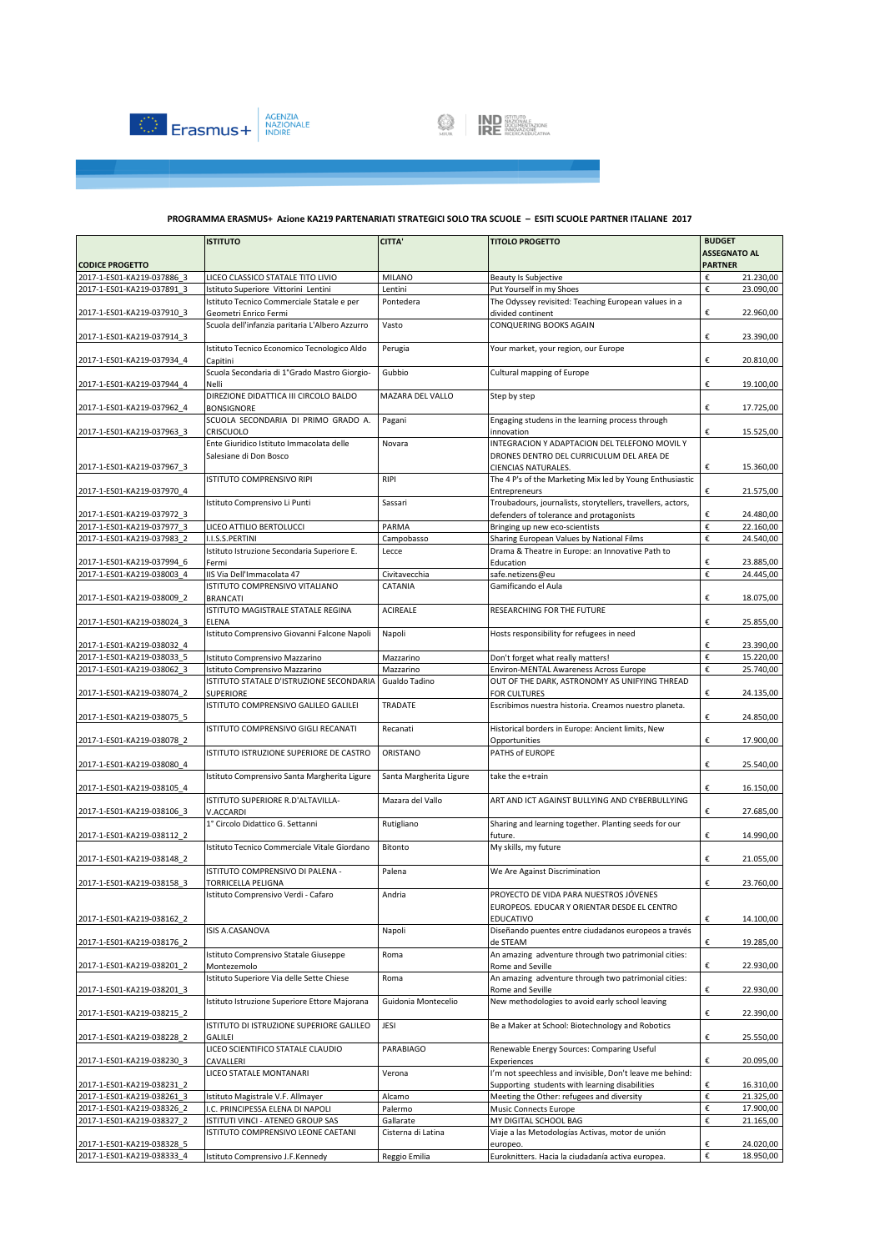



|                                                          | <b>ISTITUTO</b>                                                           | <b>CITTA'</b>            | <b>TITOLO PROGETTO</b>                                                       | <b>BUDGET</b>                    |
|----------------------------------------------------------|---------------------------------------------------------------------------|--------------------------|------------------------------------------------------------------------------|----------------------------------|
|                                                          |                                                                           |                          |                                                                              | <b>ASSEGNATO AL</b>              |
| <b>CODICE PROGETTO</b>                                   |                                                                           |                          |                                                                              | <b>PARTNER</b>                   |
| 2017-1-ES01-KA219-037886 3<br>2017-1-ES01-KA219-037891 3 | LICEO CLASSICO STATALE TITO LIVIO<br>Istituto Superiore Vittorini Lentini | <b>MILANO</b><br>Lentini | Beauty Is Subjective<br>Put Yourself in my Shoes                             | €<br>21.230,00<br>€<br>23.090,00 |
|                                                          | Istituto Tecnico Commerciale Statale e per                                | Pontedera                | The Odyssey revisited: Teaching European values in a                         |                                  |
| 2017-1-ES01-KA219-037910 3                               | Geometri Enrico Fermi                                                     |                          | divided continent                                                            | €<br>22.960,00                   |
|                                                          | Scuola dell'infanzia paritaria L'Albero Azzurro                           | Vasto                    | CONQUERING BOOKS AGAIN                                                       |                                  |
| 2017-1-ES01-KA219-037914 3                               |                                                                           |                          |                                                                              | €<br>23.390,00                   |
|                                                          | Istituto Tecnico Economico Tecnologico Aldo                               | Perugia                  | Your market, your region, our Europe                                         |                                  |
| 2017-1-ES01-KA219-037934 4                               | Capitini                                                                  |                          |                                                                              | €<br>20.810,00                   |
|                                                          | Scuola Secondaria di 1ºGrado Mastro Giorgio-                              | Gubbio                   | Cultural mapping of Europe                                                   |                                  |
| 2017-1-ES01-KA219-037944 4                               | Nelli<br>DIREZIONE DIDATTICA III CIRCOLO BALDO                            | MAZARA DEL VALLO         | Step by step                                                                 | €<br>19.100,00                   |
| 2017-1-ES01-KA219-037962 4                               | <b>BONSIGNORE</b>                                                         |                          |                                                                              | €<br>17.725,00                   |
|                                                          | SCUOLA SECONDARIA DI PRIMO GRADO A.                                       | Pagani                   | Engaging studens in the learning process through                             |                                  |
| 2017-1-ES01-KA219-037963 3                               | <b>CRISCUOLO</b>                                                          |                          | innovation                                                                   | €<br>15.525,00                   |
|                                                          | Ente Giuridico Istituto Immacolata delle                                  | Novara                   | INTEGRACION Y ADAPTACION DEL TELEFONO MOVIL Y                                |                                  |
|                                                          | Salesiane di Don Bosco                                                    |                          | DRONES DENTRO DEL CURRICULUM DEL AREA DE                                     |                                  |
| 2017-1-ES01-KA219-037967_3                               |                                                                           |                          | CIENCIAS NATURALES.                                                          | €<br>15.360,00                   |
|                                                          | ISTITUTO COMPRENSIVO RIPI                                                 | <b>RIPI</b>              | The 4 P's of the Marketing Mix led by Young Enthusiastic                     | €                                |
| 2017-1-ES01-KA219-037970 4                               | Istituto Comprensivo Li Punti                                             | Sassari                  | Entrepreneurs<br>Troubadours, journalists, storytellers, travellers, actors, | 21.575,00                        |
| 2017-1-ES01-KA219-037972 3                               |                                                                           |                          | defenders of tolerance and protagonists                                      | €<br>24.480,00                   |
| 2017-1-ES01-KA219-037977 3                               | LICEO ATTILIO BERTOLUCCI                                                  | PARMA                    | Bringing up new eco-scientists                                               | €<br>22.160,00                   |
| 2017-1-ES01-KA219-037983_2                               | I.I.S.S.PERTINI                                                           | Campobasso               | Sharing European Values by National Films                                    | €<br>24.540,00                   |
|                                                          | Istituto Istruzione Secondaria Superiore E.                               | Lecce                    | Drama & Theatre in Europe: an Innovative Path to                             |                                  |
| 2017-1-ES01-KA219-037994 6                               | Fermi                                                                     |                          | Education                                                                    | €<br>23.885,00                   |
| 2017-1-ES01-KA219-038003 4                               | IIS Via Dell'Immacolata 47                                                | Civitavecchia            | safe.netizens@eu                                                             | €<br>24.445,00                   |
| 2017-1-ES01-KA219-038009 2                               | ISTITUTO COMPRENSIVO VITALIANO<br><b>BRANCATI</b>                         | CATANIA                  | Gamificando el Aula                                                          | €<br>18.075,00                   |
|                                                          | ISTITUTO MAGISTRALE STATALE REGINA                                        | <b>ACIREALE</b>          | RESEARCHING FOR THE FUTURE                                                   |                                  |
| 2017-1-ES01-KA219-038024 3                               | ELENA                                                                     |                          |                                                                              | €<br>25.855,00                   |
|                                                          | Istituto Comprensivo Giovanni Falcone Napoli                              | Napoli                   | Hosts responsibility for refugees in need                                    |                                  |
| 2017-1-ES01-KA219-038032 4                               |                                                                           |                          |                                                                              | €<br>23.390,00                   |
| 2017-1-ES01-KA219-038033 5                               | Istituto Comprensivo Mazzarino                                            | Mazzarino                | Don't forget what really matters!                                            | €<br>15.220,00                   |
| 2017-1-ES01-KA219-038062 3                               | Istituto Comprensivo Mazzarino                                            | Mazzarino                | Environ-MENTAL Awareness Across Europe                                       | €<br>25.740,00                   |
|                                                          | ISTITUTO STATALE D'ISTRUZIONE SECONDARIA                                  | Gualdo Tadino            | OUT OF THE DARK, ASTRONOMY AS UNIFYING THREAD                                | €                                |
| 2017-1-ES01-KA219-038074_2                               | <b>SUPERIORE</b><br>ISTITUTO COMPRENSIVO GALILEO GALILEI                  | TRADATE                  | FOR CULTURES<br>Escribimos nuestra historia. Creamos nuestro planeta.        | 24.135,00                        |
| 2017-1-ES01-KA219-038075_5                               |                                                                           |                          |                                                                              | €<br>24.850,00                   |
|                                                          | ISTITUTO COMPRENSIVO GIGLI RECANATI                                       | Recanati                 | Historical borders in Europe: Ancient limits, New                            |                                  |
| 2017-1-ES01-KA219-038078 2                               |                                                                           |                          | Opportunities                                                                | €<br>17.900,00                   |
|                                                          | ISTITUTO ISTRUZIONE SUPERIORE DE CASTRO                                   | ORISTANO                 | PATHS of EUROPE                                                              |                                  |
| 2017-1-ES01-KA219-038080 4                               |                                                                           |                          |                                                                              | €<br>25.540,00                   |
|                                                          | Istituto Comprensivo Santa Margherita Ligure                              | Santa Margherita Ligure  | take the e+train                                                             | €                                |
| 2017-1-ES01-KA219-038105 4                               | ISTITUTO SUPERIORE R.D'ALTAVILLA-                                         | Mazara del Vallo         | ART AND ICT AGAINST BULLYING AND CYBERBULLYING                               | 16.150,00                        |
| 2017-1-ES01-KA219-038106 3                               | V.ACCARDI                                                                 |                          |                                                                              | €<br>27.685,00                   |
|                                                          | 1° Circolo Didattico G. Settanni                                          | Rutigliano               | Sharing and learning together. Planting seeds for our                        |                                  |
| 2017-1-ES01-KA219-038112 2                               |                                                                           |                          | future.                                                                      | €<br>14.990,00                   |
|                                                          | Istituto Tecnico Commerciale Vitale Giordano                              | Bitonto                  | My skills, my future                                                         |                                  |
| 2017-1-ES01-KA219-038148 2                               |                                                                           |                          |                                                                              | €<br>21.055,00                   |
| 2017-1-ES01-KA219-038158 3                               | ISTITUTO COMPRENSIVO DI PALENA -<br><b>TORRICELLA PELIGNA</b>             | Palena                   | We Are Against Discrimination                                                | €<br>23.760,00                   |
|                                                          | Istituto Comprensivo Verdi - Cafaro                                       | Andria                   | PROYECTO DE VIDA PARA NUESTROS JÓVENES                                       |                                  |
|                                                          |                                                                           |                          | EUROPEOS. EDUCAR Y ORIENTAR DESDE EL CENTRO                                  |                                  |
| 2017-1-ES01-KA219-038162 2                               |                                                                           |                          | <b>EDUCATIVO</b>                                                             | €<br>14.100,00                   |
|                                                          | ISIS A.CASANOVA                                                           | Napoli                   | Diseñando puentes entre ciudadanos europeos a través                         |                                  |
| 2017-1-ES01-KA219-038176 2                               |                                                                           |                          | de STEAM                                                                     | €<br>19.285,00                   |
|                                                          | Istituto Comprensivo Statale Giuseppe                                     | Roma                     | An amazing adventure through two patrimonial cities:                         |                                  |
| 2017-1-ES01-KA219-038201 2                               | Montezemolo<br>Istituto Superiore Via delle Sette Chiese                  | Roma                     | Rome and Seville<br>An amazing adventure through two patrimonial cities:     | €<br>22.930,00                   |
| 2017-1-ES01-KA219-038201 3                               |                                                                           |                          | Rome and Seville                                                             | €<br>22.930,00                   |
|                                                          | Istituto Istruzione Superiore Ettore Majorana                             | Guidonia Montecelio      | New methodologies to avoid early school leaving                              |                                  |
| 2017-1-ES01-KA219-038215 2                               |                                                                           |                          |                                                                              | €<br>22.390,00                   |
|                                                          | ISTITUTO DI ISTRUZIONE SUPERIORE GALILEO                                  | JESI                     | Be a Maker at School: Biotechnology and Robotics                             |                                  |
| 2017-1-ES01-KA219-038228 2                               | GALILEI                                                                   |                          |                                                                              | €<br>25.550,00                   |
|                                                          | LICEO SCIENTIFICO STATALE CLAUDIO                                         | PARABIAGO                | Renewable Energy Sources: Comparing Useful                                   |                                  |
| 2017-1-ES01-KA219-038230 3                               | CAVALLERI<br>LICEO STATALE MONTANARI                                      | Verona                   | Experiences<br>I'm not speechless and invisible, Don't leave me behind:      | €<br>20.095,00                   |
| 2017-1-ES01-KA219-038231 2                               |                                                                           |                          | Supporting students with learning disabilities                               | €<br>16.310,00                   |
| 2017-1-ES01-KA219-038261 3                               | Istituto Magistrale V.F. Allmayer                                         | Alcamo                   | Meeting the Other: refugees and diversity                                    | €<br>21.325,00                   |
| 2017-1-ES01-KA219-038326 2                               | I.C. PRINCIPESSA ELENA DI NAPOLI                                          | Palermo                  | Music Connects Europe                                                        | €<br>17.900,00                   |
| 2017-1-ES01-KA219-038327 2                               | ISTITUTI VINCI - ATENEO GROUP SAS                                         | Gallarate                | MY DIGITAL SCHOOL BAG                                                        | €<br>21.165,00                   |
|                                                          | ISTITUTO COMPRENSIVO LEONE CAETANI                                        | Cisterna di Latina       | Viaje a las Metodologías Activas, motor de unión                             |                                  |
| 2017-1-ES01-KA219-038328 5                               |                                                                           |                          | europeo.                                                                     | €<br>24.020,00                   |
| 2017-1-ES01-KA219-038333 4                               | Istituto Comprensivo J.F.Kennedy                                          | Reggio Emilia            | Euroknitters. Hacia la ciudadanía activa europea.                            | €<br>18.950,00                   |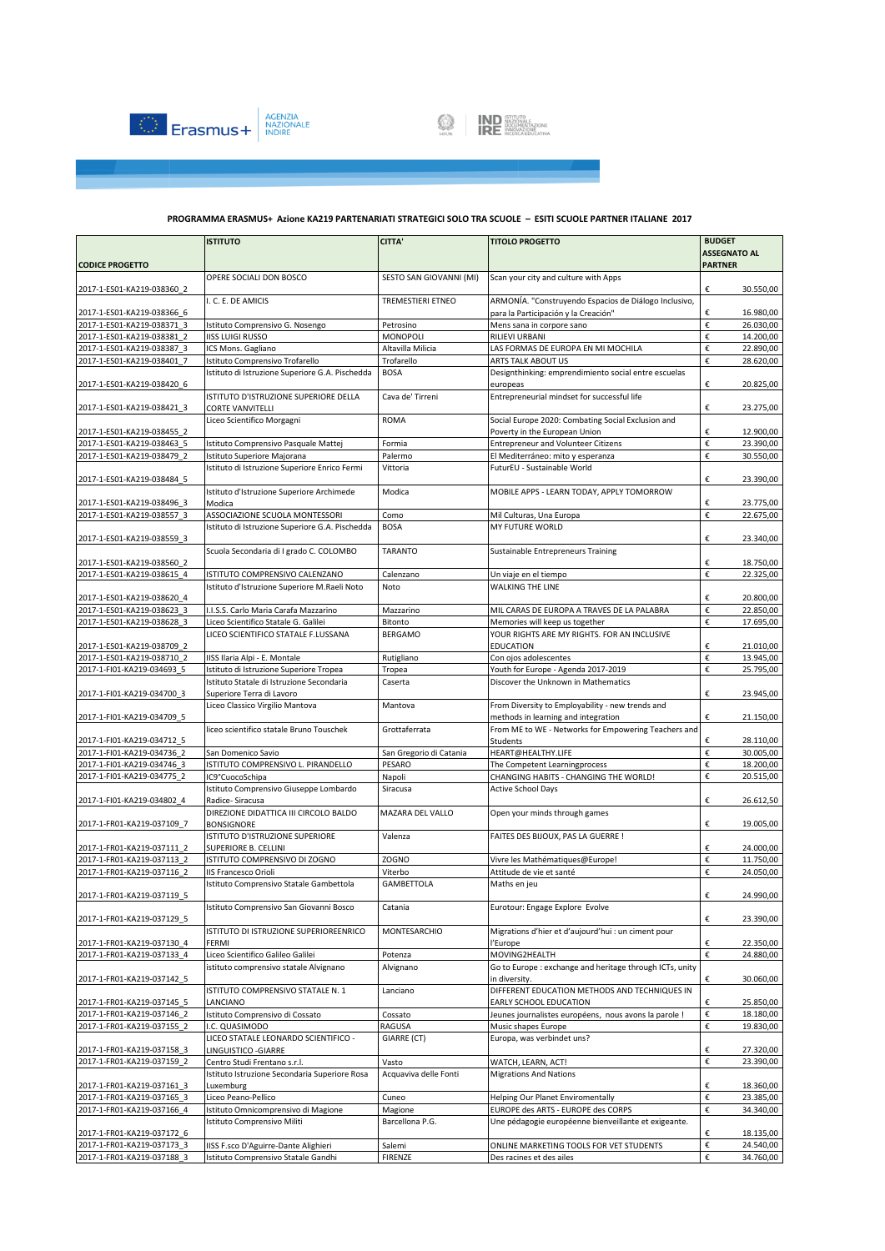



|                                                          | <b>ISTITUTO</b>                                                              | <b>CITTA'</b>                   | <b>TITOLO PROGETTO</b>                                                          | <b>BUDGET</b>                         |
|----------------------------------------------------------|------------------------------------------------------------------------------|---------------------------------|---------------------------------------------------------------------------------|---------------------------------------|
|                                                          |                                                                              |                                 |                                                                                 | <b>ASSEGNATO AL</b><br><b>PARTNER</b> |
| <b>CODICE PROGETTO</b>                                   | OPERE SOCIALI DON BOSCO                                                      | SESTO SAN GIOVANNI (MI)         | Scan your city and culture with Apps                                            |                                       |
| 2017-1-ES01-KA219-038360_2                               |                                                                              |                                 |                                                                                 | €<br>30.550,00                        |
|                                                          | I. C. E. DE AMICIS                                                           | <b>TREMESTIERI ETNEO</b>        | ARMONÍA. "Construyendo Espacios de Diálogo Inclusivo,                           |                                       |
| 2017-1-ES01-KA219-038366 6                               |                                                                              |                                 | para la Participación y la Creación"                                            | €<br>16.980,00                        |
| 2017-1-ES01-KA219-038371 3                               | Istituto Comprensivo G. Nosengo                                              | Petrosino                       | Mens sana in corpore sano                                                       | $\boldsymbol{\epsilon}$<br>26.030,00  |
| 2017-1-ES01-KA219-038381 2                               | <b>IISS LUIGI RUSSO</b>                                                      | MONOPOLI                        | <b>RILIEVI URBANI</b>                                                           | €<br>14.200,00<br>€                   |
| 2017-1-ES01-KA219-038387 3<br>2017-1-ES01-KA219-038401 7 | ICS Mons. Gagliano<br>Istituto Comprensivo Trofarello                        | Altavilla Milicia<br>Trofarello | LAS FORMAS DE EUROPA EN MI MOCHILA<br>ARTS TALK ABOUT US                        | 22.890,00<br>€<br>28.620,00           |
|                                                          | Istituto di Istruzione Superiore G.A. Pischedda                              | <b>BOSA</b>                     | Designthinking: emprendimiento social entre escuelas                            |                                       |
| 2017-1-ES01-KA219-038420 6                               |                                                                              |                                 | europeas                                                                        | €<br>20.825,00                        |
|                                                          | ISTITUTO D'ISTRUZIONE SUPERIORE DELLA                                        | Cava de' Tirreni                | Entrepreneurial mindset for successful life                                     |                                       |
| 2017-1-ES01-KA219-038421 3                               | <b>CORTE VANVITELLI</b>                                                      |                                 |                                                                                 | €<br>23.275,00                        |
|                                                          | Liceo Scientifico Morgagni                                                   | <b>ROMA</b>                     | Social Europe 2020: Combating Social Exclusion and                              |                                       |
| 2017-1-ES01-KA219-038455 2                               |                                                                              |                                 | Poverty in the European Union                                                   | €<br>12.900,00                        |
| 2017-1-ES01-KA219-038463 5<br>2017-1-ES01-KA219-038479 2 | Istituto Comprensivo Pasquale Mattej                                         | Formia                          | Entrepreneur and Volunteer Citizens                                             | €<br>23.390,00<br>€<br>30.550,00      |
|                                                          | Istituto Superiore Majorana<br>Istituto di Istruzione Superiore Enrico Fermi | Palermo<br>Vittoria             | El Mediterráneo: mito y esperanza<br>FuturEU - Sustainable World                |                                       |
| 2017-1-ES01-KA219-038484 5                               |                                                                              |                                 |                                                                                 | €<br>23.390,00                        |
|                                                          | Istituto d'Istruzione Superiore Archimede                                    | Modica                          | MOBILE APPS - LEARN TODAY, APPLY TOMORROW                                       |                                       |
| 2017-1-ES01-KA219-038496 3                               | Modica                                                                       |                                 |                                                                                 | €<br>23.775,00                        |
| 2017-1-ES01-KA219-038557 3                               | ASSOCIAZIONE SCUOLA MONTESSORI                                               | Como                            | Mil Culturas, Una Europa                                                        | €<br>22.675,00                        |
|                                                          | Istituto di Istruzione Superiore G.A. Pischedda                              | <b>BOSA</b>                     | MY FUTURE WORLD                                                                 |                                       |
| 2017-1-ES01-KA219-038559 3                               |                                                                              |                                 |                                                                                 | €<br>23.340,00                        |
|                                                          | Scuola Secondaria di I grado C. COLOMBO                                      | <b>TARANTO</b>                  | Sustainable Entrepreneurs Training                                              |                                       |
| 2017-1-ES01-KA219-038560 2<br>2017-1-ES01-KA219-038615 4 | ISTITUTO COMPRENSIVO CALENZANO                                               |                                 |                                                                                 | €<br>18.750,00<br>€<br>22.325,00      |
|                                                          | Istituto d'Istruzione Superiore M.Raeli Noto                                 | Calenzano<br>Noto               | Un viaje en el tiempo<br><b>WALKING THE LINE</b>                                |                                       |
| 2017-1-ES01-KA219-038620 4                               |                                                                              |                                 |                                                                                 | €<br>20.800,00                        |
| 2017-1-ES01-KA219-038623 3                               | I.I.S.S. Carlo Maria Carafa Mazzarino                                        | Mazzarino                       | MIL CARAS DE EUROPA A TRAVES DE LA PALABRA                                      | $\boldsymbol{\epsilon}$<br>22.850,00  |
| 2017-1-ES01-KA219-038628 3                               | Liceo Scientifico Statale G. Galilei                                         | Bitonto                         | Memories will keep us together                                                  | €<br>17.695,00                        |
|                                                          | LICEO SCIENTIFICO STATALE F.LUSSANA                                          | BERGAMO                         | YOUR RIGHTS ARE MY RIGHTS. FOR AN INCLUSIVE                                     |                                       |
| 2017-1-ES01-KA219-038709 2                               |                                                                              |                                 | EDUCATION                                                                       | €<br>21.010,00                        |
| 2017-1-ES01-KA219-038710 2                               | IISS Ilaria Alpi - E. Montale                                                | Rutigliano                      | Con ojos adolescentes                                                           | €<br>13.945,00                        |
| 2017-1-FI01-KA219-034693 5                               | Istituto di Istruzione Superiore Tropea                                      | Tropea                          | Youth for Europe - Agenda 2017-2019                                             | €<br>25.795,00                        |
| 2017-1-FI01-KA219-034700 3                               | Istituto Statale di Istruzione Secondaria<br>Superiore Terra di Lavoro       | Caserta                         | Discover the Unknown in Mathematics                                             | €                                     |
|                                                          | Liceo Classico Virgilio Mantova                                              | Mantova                         | From Diversity to Employability - new trends and                                | 23.945,00                             |
| 2017-1-FI01-KA219-034709 5                               |                                                                              |                                 | methods in learning and integration                                             | €<br>21.150,00                        |
|                                                          | liceo scientifico statale Bruno Touschek                                     | Grottaferrata                   | From ME to WE - Networks for Empowering Teachers and                            |                                       |
| 2017-1-FI01-KA219-034712 5                               |                                                                              |                                 | Students                                                                        | 28.110,00<br>€                        |
| 2017-1-FI01-KA219-034736 2                               | San Domenico Savio                                                           | San Gregorio di Catania         | HEART@HEALTHY.LIFE                                                              | $\boldsymbol{\epsilon}$<br>30.005,00  |
| 2017-1-FI01-KA219-034746 3                               | ISTITUTO COMPRENSIVO L. PIRANDELLO                                           | PESARO                          | The Competent Learningprocess                                                   | €<br>18.200,00                        |
| 2017-1-FI01-KA219-034775 2                               | IC9°CuocoSchipa                                                              | Napoli                          | CHANGING HABITS - CHANGING THE WORLD!                                           | €<br>20.515,00                        |
| 2017-1-FI01-KA219-034802 4                               | Istituto Comprensivo Giuseppe Lombardo<br>Radice-Siracusa                    | Siracusa                        | <b>Active School Days</b>                                                       | €<br>26.612,50                        |
|                                                          | DIREZIONE DIDATTICA III CIRCOLO BALDO                                        | MAZARA DEL VALLO                | Open your minds through games                                                   |                                       |
| 2017-1-FR01-KA219-037109 7                               | <b>BONSIGNORE</b>                                                            |                                 |                                                                                 | €<br>19.005,00                        |
|                                                          | ISTITUTO D'ISTRUZIONE SUPERIORE                                              | Valenza                         | FAITES DES BIJOUX, PAS LA GUERRE !                                              |                                       |
| 2017-1-FR01-KA219-037111 2                               | SUPERIORE B. CELLINI                                                         |                                 |                                                                                 | €<br>24.000,00                        |
| 2017-1-FR01-KA219-037113 2                               | ISTITUTO COMPRENSIVO DI ZOGNO                                                | <b>ZOGNO</b>                    | Vivre les Mathématiques@Europe!                                                 | €<br>11.750,00                        |
| 2017-1-FR01-KA219-037116 2                               | <b>IIS Francesco Orioli</b>                                                  | Viterbo                         | Attitude de vie et santé                                                        | €<br>24.050,00                        |
|                                                          | Istituto Comprensivo Statale Gambettola                                      | <b>GAMBETTOLA</b>               | Maths en jeu                                                                    |                                       |
| 2017-1-FR01-KA219-037119 5                               | Istituto Comprensivo San Giovanni Bosco                                      | Catania                         | Eurotour: Engage Explore Evolve                                                 | 24.990,00<br>€                        |
| 2017-1-FR01-KA219-037129 5                               |                                                                              |                                 |                                                                                 | €<br>23.390,00                        |
|                                                          | ISTITUTO DI ISTRUZIONE SUPERIOREENRICO                                       | MONTESARCHIO                    | Migrations d'hier et d'aujourd'hui : un ciment pour                             |                                       |
| 2017-1-FR01-KA219-037130 4                               | FERMI                                                                        |                                 | l'Europe                                                                        | €<br>22.350,00                        |
| 2017-1-FR01-KA219-037133 4                               | Liceo Scientifico Galileo Galilei                                            | Potenza                         | MOVING2HEALTH                                                                   | €<br>24.880,00                        |
|                                                          | istituto comprensivo statale Alvignano                                       | Alvignano                       | Go to Europe : exchange and heritage through ICTs, unity                        |                                       |
| 2017-1-FR01-KA219-037142 5                               |                                                                              |                                 | in diversity.                                                                   | €<br>30.060,00                        |
|                                                          | ISTITUTO COMPRENSIVO STATALE N. 1                                            | Lanciano                        | DIFFERENT EDUCATION METHODS AND TECHNIQUES IN                                   | 25.850,00                             |
| 2017-1-FR01-KA219-037145 5<br>2017-1-FR01-KA219-037146 2 | LANCIANO<br>Istituto Comprensivo di Cossato                                  | Cossato                         | EARLY SCHOOL EDUCATION<br>Jeunes journalistes européens, nous avons la parole ! | €<br>€<br>18.180,00                   |
| 2017-1-FR01-KA219-037155 2                               | I.C. QUASIMODO                                                               | RAGUSA                          | Music shapes Europe                                                             | €<br>19.830,00                        |
|                                                          | LICEO STATALE LEONARDO SCIENTIFICO -                                         | GIARRE (CT)                     | Europa, was verbindet uns?                                                      |                                       |
| 2017-1-FR01-KA219-037158 3                               | LINGUISTICO - GIARRE                                                         |                                 |                                                                                 | €<br>27.320,00                        |
| 2017-1-FR01-KA219-037159 2                               | Centro Studi Frentano s.r.l.                                                 | Vasto                           | WATCH, LEARN, ACT!                                                              | €<br>23.390,00                        |
|                                                          | Istituto Istruzione Secondaria Superiore Rosa                                | Acquaviva delle Fonti           | <b>Migrations And Nations</b>                                                   |                                       |
| 2017-1-FR01-KA219-037161 3                               | Luxemburg                                                                    |                                 |                                                                                 | €<br>18.360,00                        |
| 2017-1-FR01-KA219-037165 3                               | Liceo Peano-Pellico                                                          | Cuneo                           | <b>Helping Our Planet Enviromentally</b>                                        | €<br>23.385,00                        |
| 2017-1-FR01-KA219-037166_4                               | Istituto Omnicomprensivo di Magione                                          | Magione                         | EUROPE des ARTS - EUROPE des CORPS                                              | €<br>34.340,00                        |
| 2017-1-FR01-KA219-037172_6                               | Istituto Comprensivo Militi                                                  | Barcellona P.G.                 | Une pédagogie européenne bienveillante et exigeante.                            | €<br>18.135,00                        |
| 2017-1-FR01-KA219-037173 3                               | IISS F.sco D'Aguirre-Dante Alighieri                                         | Salemi                          | ONLINE MARKETING TOOLS FOR VET STUDENTS                                         | €<br>24.540,00                        |
| 2017-1-FR01-KA219-037188 3                               | Istituto Comprensivo Statale Gandhi                                          | FIRENZE                         | Des racines et des ailes                                                        | €<br>34.760,00                        |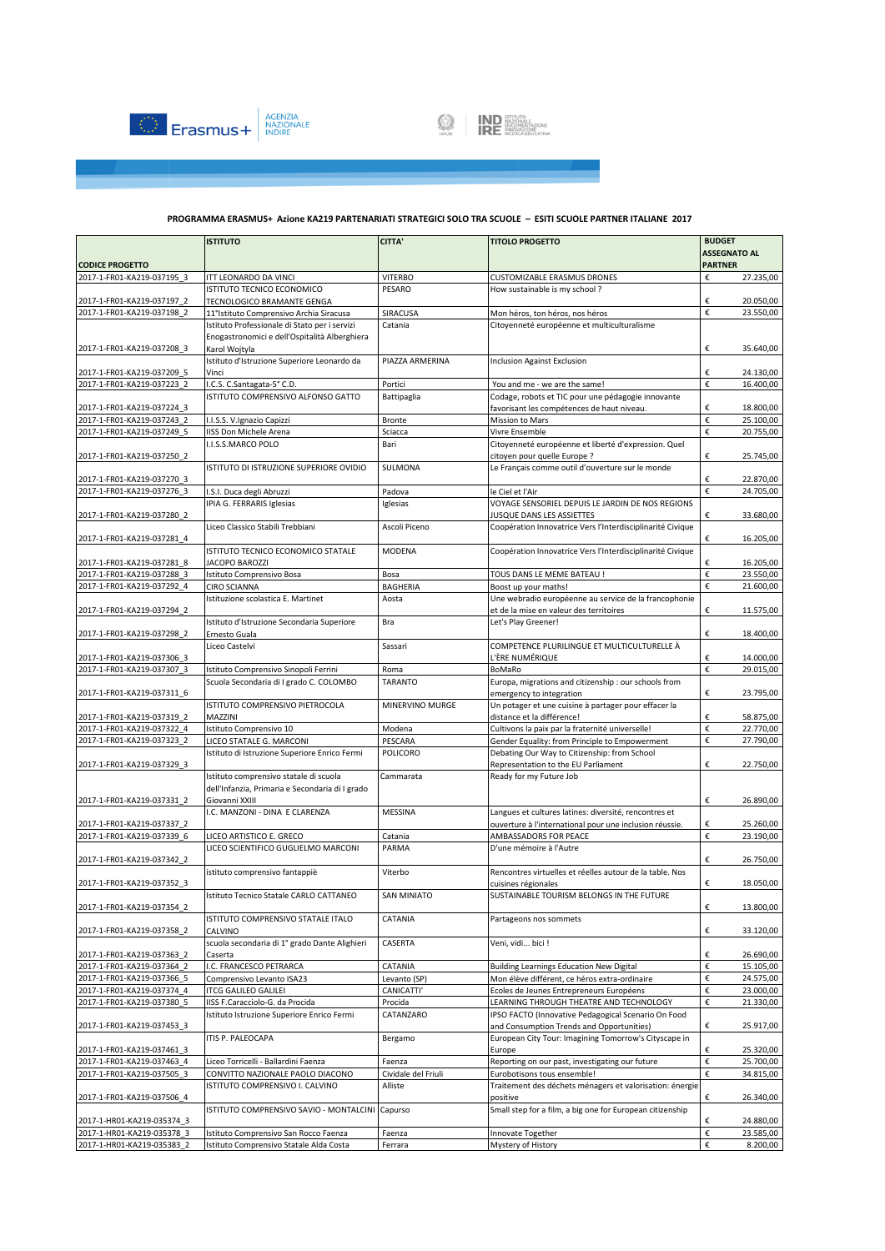



|                                                          | <b>ISTITUTO</b>                                      | <b>CITTA'</b>                 | <b>TITOLO PROGETTO</b>                                                                             | <b>BUDGET</b>                                          |
|----------------------------------------------------------|------------------------------------------------------|-------------------------------|----------------------------------------------------------------------------------------------------|--------------------------------------------------------|
|                                                          |                                                      |                               |                                                                                                    | <b>ASSEGNATO AL</b>                                    |
| <b>CODICE PROGETTO</b>                                   |                                                      | <b>VITERBO</b>                | <b>CUSTOMIZABLE ERASMUS DRONES</b>                                                                 | <b>PARTNER</b><br>27.235,00                            |
| 2017-1-FR01-KA219-037195 3                               | ITT LEONARDO DA VINCI<br>ISTITUTO TECNICO ECONOMICO  | PESARO                        | How sustainable is my school?                                                                      | €                                                      |
| 2017-1-FR01-KA219-037197 2                               | TECNOLOGICO BRAMANTE GENGA                           |                               |                                                                                                    | €<br>20.050,00                                         |
| 2017-1-FR01-KA219-037198 2                               | 11°Istituto Comprensivo Archia Siracusa              | SIRACUSA                      | Mon héros, ton héros, nos héros                                                                    | €<br>23.550,00                                         |
|                                                          | Istituto Professionale di Stato per i servizi        | Catania                       | Citoyenneté européenne et multiculturalisme                                                        |                                                        |
|                                                          | Enogastronomici e dell'Ospitalità Alberghiera        |                               |                                                                                                    |                                                        |
| 2017-1-FR01-KA219-037208 3                               | Karol Wojtyla                                        |                               |                                                                                                    | €<br>35.640,00                                         |
|                                                          | Istituto d'Istruzione Superiore Leonardo da          | PIAZZA ARMERINA               | <b>Inclusion Against Exclusion</b>                                                                 |                                                        |
| 2017-1-FR01-KA219-037209 5                               | Vinci                                                |                               |                                                                                                    | €<br>24.130,00                                         |
| 2017-1-FR01-KA219-037223 2                               | I.C.S. C.Santagata-5° C.D.                           | Portici                       | You and me - we are the same!                                                                      | €<br>16.400,00                                         |
|                                                          | ISTITUTO COMPRENSIVO ALFONSO GATTO                   | Battipaglia                   | Codage, robots et TIC pour une pédagogie innovante                                                 |                                                        |
| 2017-1-FR01-KA219-037224 3<br>2017-1-FR01-KA219-037243 2 |                                                      |                               | favorisant les compétences de haut niveau.<br>Mission to Mars                                      | €<br>18.800,00<br>€<br>25.100,00                       |
| 2017-1-FR01-KA219-037249 5                               | I.I.S.S. V.Ignazio Capizzi<br>IISS Don Michele Arena | Bronte<br>Sciacca             | Vivre Ensemble                                                                                     | €<br>20.755,00                                         |
|                                                          | I.I.S.S.MARCO POLO                                   | Bari                          | Citoyenneté européenne et liberté d'expression. Quel                                               |                                                        |
| 2017-1-FR01-KA219-037250 2                               |                                                      |                               | citoyen pour quelle Europe ?                                                                       | €<br>25.745,00                                         |
|                                                          | ISTITUTO DI ISTRUZIONE SUPERIORE OVIDIO              | SULMONA                       | Le Français comme outil d'ouverture sur le monde                                                   |                                                        |
| 2017-1-FR01-KA219-037270 3                               |                                                      |                               |                                                                                                    | €<br>22.870,00                                         |
| 2017-1-FR01-KA219-037276 3                               | I.S.I. Duca degli Abruzzi                            | Padova                        | le Ciel et l'Air                                                                                   | €<br>24.705,00                                         |
|                                                          | IPIA G. FERRARIS Iglesias                            | Iglesias                      | VOYAGE SENSORIEL DEPUIS LE JARDIN DE NOS REGIONS                                                   |                                                        |
| 2017-1-FR01-KA219-037280 2                               |                                                      |                               | JUSQUE DANS LES ASSIETTES                                                                          | €<br>33.680,00                                         |
|                                                          | Liceo Classico Stabili Trebbiani                     | Ascoli Piceno                 | Coopération Innovatrice Vers l'Interdisciplinarité Civique                                         |                                                        |
| 2017-1-FR01-KA219-037281_4                               |                                                      |                               |                                                                                                    | €<br>16.205,00                                         |
|                                                          | ISTITUTO TECNICO ECONOMICO STATALE                   | MODENA                        | Coopération Innovatrice Vers l'Interdisciplinarité Civique                                         |                                                        |
| 2017-1-FR01-KA219-037281 8                               | <b>JACOPO BAROZZI</b>                                |                               |                                                                                                    | €<br>16.205,00                                         |
| 2017-1-FR01-KA219-037288 3<br>2017-1-FR01-KA219-037292 4 | Istituto Comprensivo Bosa<br><b>CIRO SCIANNA</b>     | Bosa<br><b>BAGHERIA</b>       | TOUS DANS LE MEME BATEAU !<br>Boost up your maths!                                                 | $\boldsymbol{\epsilon}$<br>23.550,00<br>€<br>21.600,00 |
|                                                          | Istituzione scolastica E. Martinet                   | Aosta                         | Une webradio européenne au service de la francophonie                                              |                                                        |
| 2017-1-FR01-KA219-037294_2                               |                                                      |                               | et de la mise en valeur des territoires                                                            | €<br>11.575,00                                         |
|                                                          | Istituto d'Istruzione Secondaria Superiore           | Bra                           | Let's Play Greener!                                                                                |                                                        |
| 2017-1-FR01-KA219-037298 2                               | Ernesto Guala                                        |                               |                                                                                                    | €<br>18.400,00                                         |
|                                                          | Liceo Castelvi                                       | Sassari                       | COMPETENCE PLURILINGUE ET MULTICULTURELLE À                                                        |                                                        |
| 2017-1-FR01-KA219-037306 3                               |                                                      |                               | L'ÈRE NUMÉRIQUE                                                                                    | €<br>14.000,00                                         |
| 2017-1-FR01-KA219-037307 3                               | Istituto Comprensivo Sinopoli Ferrini                | Roma                          | BoMaRo                                                                                             | €<br>29.015,00                                         |
|                                                          | Scuola Secondaria di I grado C. COLOMBO              | <b>TARANTO</b>                | Europa, migrations and citizenship : our schools from                                              |                                                        |
| 2017-1-FR01-KA219-037311 6                               |                                                      |                               | emergency to integration                                                                           | €<br>23.795,00                                         |
|                                                          | ISTITUTO COMPRENSIVO PIETROCOLA                      | MINERVINO MURGE               | Un potager et une cuisine à partager pour effacer la                                               |                                                        |
| 2017-1-FR01-KA219-037319 2                               | MAZZINI                                              |                               | distance et la différence!                                                                         | €<br>58.875,00<br>€                                    |
| 2017-1-FR01-KA219-037322 4<br>2017-1-FR01-KA219-037323 2 | Istituto Comprensivo 10<br>LICEO STATALE G. MARCONI  | Modena<br>PESCARA             | Cultivons la paix par la fraternité universelle!<br>Gender Equality: from Principle to Empowerment | 22.770,00<br>€<br>27.790,00                            |
|                                                          | Istituto di Istruzione Superiore Enrico Fermi        | POLICORO                      | Debating Our Way to Citizenship: from School                                                       |                                                        |
| 2017-1-FR01-KA219-037329 3                               |                                                      |                               | Representation to the EU Parliament                                                                | €<br>22.750,00                                         |
|                                                          | Istituto comprensivo statale di scuola               | Cammarata                     | Ready for my Future Job                                                                            |                                                        |
|                                                          | dell'Infanzia, Primaria e Secondaria di I grado      |                               |                                                                                                    |                                                        |
| 2017-1-FR01-KA219-037331 2                               | Giovanni XXIII                                       |                               |                                                                                                    | €<br>26.890,00                                         |
|                                                          | I.C. MANZONI - DINA E CLARENZA                       | <b>MESSINA</b>                | Langues et cultures latines: diversité, rencontres et                                              |                                                        |
| 2017-1-FR01-KA219-037337 2                               |                                                      |                               | ouverture à l'international pour une inclusion réussie.                                            | €<br>25.260,00                                         |
| 2017-1-FR01-KA219-037339 6                               | LICEO ARTISTICO E. GRECO                             | Catania                       | AMBASSADORS FOR PEACE                                                                              | €<br>23.190,00                                         |
|                                                          | LICEO SCIENTIFICO GUGLIELMO MARCONI                  | PARMA                         | D'une mémoire à l'Autre                                                                            |                                                        |
| 2017-1-FR01-KA219-037342 2                               |                                                      |                               |                                                                                                    | €<br>26.750,00                                         |
|                                                          | istituto comprensivo fantappiè                       | Viterbo                       | Rencontres virtuelles et réelles autour de la table. Nos                                           |                                                        |
| 2017-1-FR01-KA219-037352 3                               |                                                      |                               | cuisines régionales                                                                                | €<br>18.050,00                                         |
| 2017-1-FR01-KA219-037354_2                               | Istituto Tecnico Statale CARLO CATTANEO              | <b>SAN MINIATO</b>            | SUSTAINABLE TOURISM BELONGS IN THE FUTURE                                                          | €<br>13.800,00                                         |
|                                                          | ISTITUTO COMPRENSIVO STATALE ITALO                   | CATANIA                       | Partageons nos sommets                                                                             |                                                        |
| 2017-1-FR01-KA219-037358_2                               | CALVINO                                              |                               |                                                                                                    | €<br>33.120,00                                         |
|                                                          | scuola secondaria di 1º grado Dante Alighieri        | CASERTA                       | Veni, vidi bici !                                                                                  |                                                        |
| 2017-1-FR01-KA219-037363 2                               | Caserta                                              |                               |                                                                                                    | €<br>26.690,00                                         |
| 2017-1-FR01-KA219-037364 2                               | I.C. FRANCESCO PETRARCA                              | CATANIA                       | <b>Building Learnings Education New Digital</b>                                                    | €<br>15.105,00                                         |
| 2017-1-FR01-KA219-037366 5                               | Comprensivo Levanto ISA23                            | Levanto (SP)                  | Mon élève différent, ce héros extra-ordinaire                                                      | €<br>24.575,00                                         |
| 2017-1-FR01-KA219-037374 4                               | <b>ITCG GALILEO GALILEI</b>                          | CANICATTI'                    | Ecoles de Jeunes Entrepreneurs Européens                                                           | €<br>23.000,00                                         |
| 2017-1-FR01-KA219-037380_5                               | IISS F.Caracciolo-G. da Procida                      | Procida                       | LEARNING THROUGH THEATRE AND TECHNOLOGY                                                            | €<br>21.330,00                                         |
|                                                          | Istituto Istruzione Superiore Enrico Fermi           | CATANZARO                     | IPSO FACTO (Innovative Pedagogical Scenario On Food                                                |                                                        |
| 2017-1-FR01-KA219-037453 3                               |                                                      |                               | and Consumption Trends and Opportunities)                                                          | €<br>25.917,00                                         |
|                                                          | ITIS P. PALEOCAPA                                    | Bergamo                       | European City Tour: Imagining Tomorrow's Cityscape in                                              |                                                        |
| 2017-1-FR01-KA219-037461 3                               | Liceo Torricelli - Ballardini Faenza                 |                               | Europe                                                                                             | €<br>25.320,00<br>€<br>25.700,00                       |
| 2017-1-FR01-KA219-037463 4<br>2017-1-FR01-KA219-037505_3 | CONVITTO NAZIONALE PAOLO DIACONO                     | Faenza<br>Cividale del Friuli | Reporting on our past, investigating our future<br>Eurobotisons tous ensemble!                     | €<br>34.815,00                                         |
|                                                          | ISTITUTO COMPRENSIVO I. CALVINO                      | Alliste                       | Traitement des déchets ménagers et valorisation: énergie                                           |                                                        |
| 2017-1-FR01-KA219-037506 4                               |                                                      |                               | positive                                                                                           | €<br>26.340,00                                         |
|                                                          | ISTITUTO COMPRENSIVO SAVIO - MONTALCINI Capurso      |                               | Small step for a film, a big one for European citizenship                                          |                                                        |
| 2017-1-HR01-KA219-035374 3                               |                                                      |                               |                                                                                                    | €<br>24.880,00                                         |
| 2017-1-HR01-KA219-035378 3                               | Istituto Comprensivo San Rocco Faenza                | Faenza                        | Innovate Together                                                                                  | €<br>23.585,00                                         |
| 2017-1-HR01-KA219-035383_2                               | Istituto Comprensivo Statale Alda Costa              | Ferrara                       | Mystery of History                                                                                 | €<br>8.200,00                                          |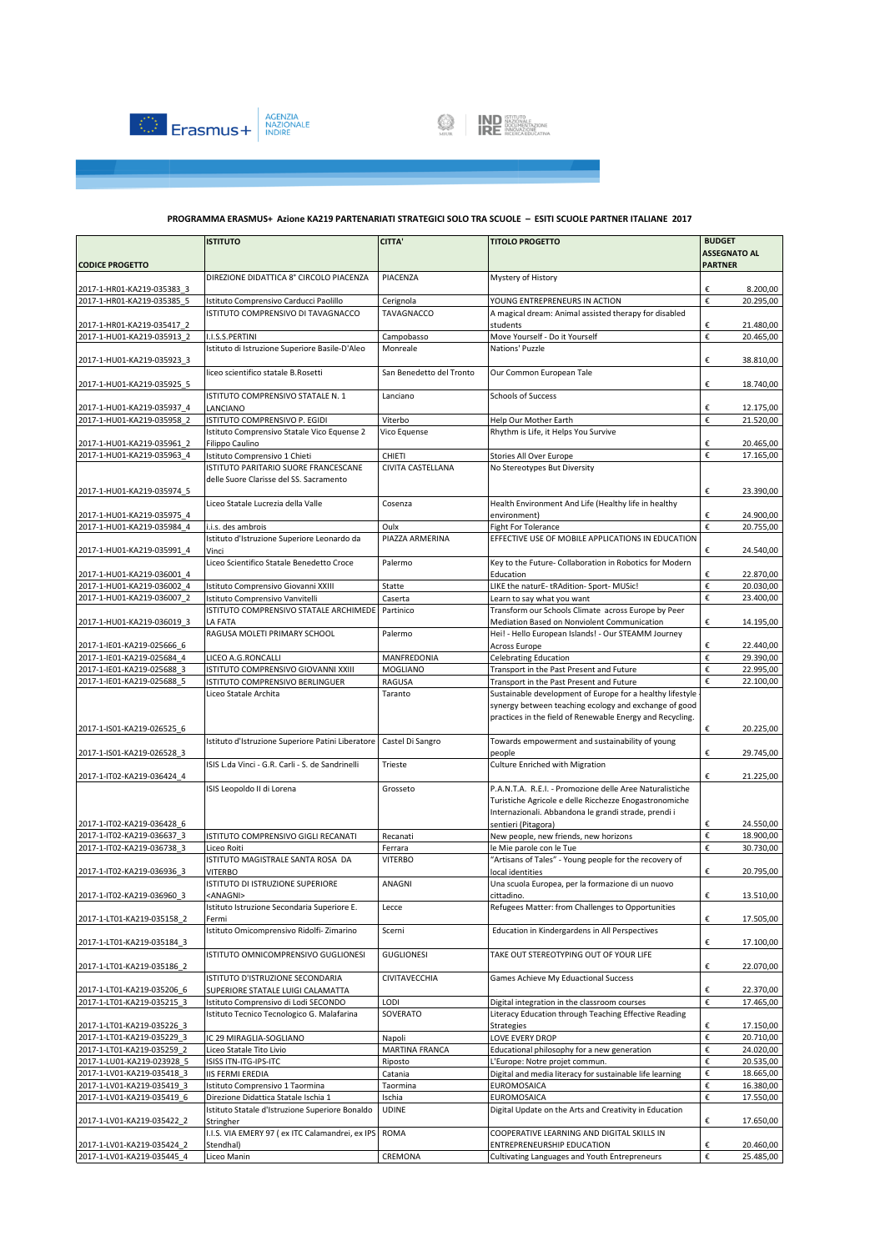



|                            | <b>ISTITUTO</b>                                                                    | <b>CITTA'</b>                      | <b>TITOLO PROGETTO</b>                                                                                             | <b>BUDGET</b>                         |
|----------------------------|------------------------------------------------------------------------------------|------------------------------------|--------------------------------------------------------------------------------------------------------------------|---------------------------------------|
| <b>CODICE PROGETTO</b>     |                                                                                    |                                    |                                                                                                                    | <b>ASSEGNATO AL</b><br><b>PARTNER</b> |
|                            | DIREZIONE DIDATTICA 8° CIRCOLO PIACENZA                                            | PIACENZA                           | Mystery of History                                                                                                 |                                       |
| 2017-1-HR01-KA219-035383 3 |                                                                                    |                                    |                                                                                                                    | 8.200,00<br>€                         |
| 2017-1-HR01-KA219-035385 5 | Istituto Comprensivo Carducci Paolillo                                             | Cerignola                          | YOUNG ENTREPRENEURS IN ACTION                                                                                      | €<br>20.295,00                        |
|                            | ISTITUTO COMPRENSIVO DI TAVAGNACCO                                                 | TAVAGNACCO                         | A magical dream: Animal assisted therapy for disabled                                                              |                                       |
| 2017-1-HR01-KA219-035417 2 |                                                                                    |                                    | students                                                                                                           | €<br>21.480,00                        |
| 2017-1-HU01-KA219-035913 2 | I.I.S.S.PERTINI                                                                    | Campobasso                         | Move Yourself - Do it Yourself                                                                                     | €<br>20.465,00                        |
| 2017-1-HU01-KA219-035923 3 | Istituto di Istruzione Superiore Basile-D'Aleo                                     | Monreale                           | Nations' Puzzle                                                                                                    | €<br>38.810,00                        |
|                            | liceo scientifico statale B.Rosetti                                                | San Benedetto del Tronto           | Our Common European Tale                                                                                           |                                       |
| 2017-1-HU01-KA219-035925 5 |                                                                                    |                                    |                                                                                                                    | €<br>18.740,00                        |
|                            | ISTITUTO COMPRENSIVO STATALE N. 1                                                  | Lanciano                           | <b>Schools of Success</b>                                                                                          |                                       |
| 2017-1-HU01-KA219-035937 4 | LANCIANO                                                                           |                                    |                                                                                                                    | €<br>12.175,00                        |
| 2017-1-HU01-KA219-035958 2 | ISTITUTO COMPRENSIVO P. EGIDI                                                      | Viterbo                            | Help Our Mother Earth                                                                                              | €<br>21.520,00                        |
|                            | Istituto Comprensivo Statale Vico Equense 2                                        | Vico Equense                       | Rhythm is Life, it Helps You Survive                                                                               |                                       |
| 2017-1-HU01-KA219-035961 2 | Filippo Caulino                                                                    |                                    |                                                                                                                    | €<br>20.465,00                        |
| 2017-1-HU01-KA219-035963 4 | Istituto Comprensivo 1 Chieti<br>ISTITUTO PARITARIO SUORE FRANCESCANE              | <b>CHIETI</b><br>CIVITA CASTELLANA | Stories All Over Europe<br>No Stereotypes But Diversity                                                            | €<br>17.165,00                        |
|                            | delle Suore Clarisse del SS. Sacramento                                            |                                    |                                                                                                                    |                                       |
| 2017-1-HU01-KA219-035974 5 |                                                                                    |                                    |                                                                                                                    | 23.390,00<br>€                        |
|                            | Liceo Statale Lucrezia della Valle                                                 | Cosenza                            | Health Environment And Life (Healthy life in healthy                                                               |                                       |
| 2017-1-HU01-KA219-035975 4 |                                                                                    |                                    | environment)                                                                                                       | €<br>24.900,00                        |
| 2017-1-HU01-KA219-035984 4 | i.i.s. des ambrois                                                                 | Oulx                               | Fight For Tolerance                                                                                                | €<br>20.755,00                        |
|                            | Istituto d'Istruzione Superiore Leonardo da                                        | PIAZZA ARMERINA                    | EFFECTIVE USE OF MOBILE APPLICATIONS IN EDUCATION                                                                  |                                       |
| 2017-1-HU01-KA219-035991 4 | Vinci                                                                              |                                    |                                                                                                                    | €<br>24.540,00                        |
| 2017-1-HU01-KA219-036001 4 | Liceo Scientifico Statale Benedetto Croce                                          | Palermo                            | Key to the Future- Collaboration in Robotics for Modern                                                            | 22.870,00                             |
| 2017-1-HU01-KA219-036002 4 | Istituto Comprensivo Giovanni XXIII                                                | Statte                             | Education<br>LIKE the naturE-tRAdition- Sport-MUSic!                                                               | €<br>€<br>20.030,00                   |
| 2017-1-HU01-KA219-036007 2 | Istituto Comprensivo Vanvitelli                                                    | Caserta                            | Learn to say what you want                                                                                         | €<br>23.400,00                        |
|                            | ISTITUTO COMPRENSIVO STATALE ARCHIMEDE                                             | Partinico                          | Transform our Schools Climate across Europe by Peer                                                                |                                       |
| 2017-1-HU01-KA219-036019 3 | LA FATA                                                                            |                                    | Mediation Based on Nonviolent Communication                                                                        | €<br>14.195,00                        |
|                            | RAGUSA MOLETI PRIMARY SCHOOL                                                       | Palermo                            | Hei! - Hello European Islands! - Our STEAMM Journey                                                                |                                       |
| 2017-1-IE01-KA219-025666 6 |                                                                                    |                                    | Across Europe                                                                                                      | 22.440,00<br>€                        |
| 2017-1-IE01-KA219-025684 4 | LICEO A.G.RONCALLI                                                                 | MANFREDONIA                        | <b>Celebrating Education</b>                                                                                       | €<br>29.390,00                        |
| 2017-1-IE01-KA219-025688 3 | ISTITUTO COMPRENSIVO GIOVANNI XXIII                                                | <b>MOGLIANO</b>                    | Transport in the Past Present and Future                                                                           | €<br>22.995,00                        |
| 2017-1-IE01-KA219-025688 5 | ISTITUTO COMPRENSIVO BERLINGUER                                                    | RAGUSA                             | Transport in the Past Present and Future                                                                           | €<br>22.100,00                        |
|                            | Liceo Statale Archita                                                              | Taranto                            | Sustainable development of Europe for a healthy lifestyle<br>synergy between teaching ecology and exchange of good |                                       |
|                            |                                                                                    |                                    | practices in the field of Renewable Energy and Recycling.                                                          |                                       |
| 2017-1-IS01-KA219-026525 6 |                                                                                    |                                    |                                                                                                                    | €<br>20.225,00                        |
|                            | Istituto d'Istruzione Superiore Patini Liberatore                                  | Castel Di Sangro                   | Towards empowerment and sustainability of young                                                                    |                                       |
| 2017-1-IS01-KA219-026528 3 |                                                                                    |                                    | people                                                                                                             | 29.745,00<br>€                        |
|                            | ISIS L.da Vinci - G.R. Carli - S. de Sandrinelli                                   | Trieste                            | Culture Enriched with Migration                                                                                    |                                       |
| 2017-1-IT02-KA219-036424 4 |                                                                                    |                                    |                                                                                                                    | €<br>21.225,00                        |
|                            | ISIS Leopoldo II di Lorena                                                         | Grosseto                           | P.A.N.T.A. R.E.I. - Promozione delle Aree Naturalistiche                                                           |                                       |
|                            |                                                                                    |                                    | Turistiche Agricole e delle Ricchezze Enogastronomiche<br>Internazionali. Abbandona le grandi strade, prendi i     |                                       |
| 2017-1-IT02-KA219-036428 6 |                                                                                    |                                    | sentieri (Pitagora)                                                                                                | 24.550.00<br>€                        |
| 2017-1-IT02-KA219-036637 3 | ISTITUTO COMPRENSIVO GIGLI RECANATI                                                | Recanati                           | New people, new friends, new horizons                                                                              | €<br>18.900,00                        |
| 2017-1-IT02-KA219-036738 3 | Liceo Roiti                                                                        | Ferrara                            | le Mie parole con le Tue                                                                                           | €<br>30.730,00                        |
|                            | ISTITUTO MAGISTRALE SANTA ROSA DA                                                  | <b>VITERBO</b>                     | "Artisans of Tales" - Young people for the recovery of                                                             |                                       |
| 2017-1-IT02-KA219-036936 3 | <b>VITERBO</b>                                                                     |                                    | local identities                                                                                                   | €<br>20.795,00                        |
|                            | ISTITUTO DI ISTRUZIONE SUPERIORE                                                   | ANAGNI                             | Una scuola Europea, per la formazione di un nuovo                                                                  |                                       |
| 2017-1-IT02-KA219-036960 3 | <anagni><br/>Istituto Istruzione Secondaria Superiore E.</anagni>                  | Lecce                              | cittadino.<br>Refugees Matter: from Challenges to Opportunities                                                    | €<br>13.510,00                        |
| 2017-1-LT01-KA219-035158 2 | Fermi                                                                              |                                    |                                                                                                                    | €<br>17.505,00                        |
|                            | Istituto Omicomprensivo Ridolfi-Zimarino                                           | Scerni                             | Education in Kindergardens in All Perspectives                                                                     |                                       |
| 2017-1-LT01-KA219-035184 3 |                                                                                    |                                    |                                                                                                                    | €<br>17.100,00                        |
|                            | ISTITUTO OMNICOMPRENSIVO GUGLIONESI                                                | <b>GUGLIONESI</b>                  | TAKE OUT STEREOTYPING OUT OF YOUR LIFE                                                                             |                                       |
| 2017-1-LT01-KA219-035186 2 |                                                                                    |                                    |                                                                                                                    | €<br>22.070,00                        |
|                            | ISTITUTO D'ISTRUZIONE SECONDARIA                                                   | CIVITAVECCHIA                      | Games Achieve My Eduactional Success                                                                               |                                       |
| 2017-1-LT01-KA219-035206 6 | SUPERIORE STATALE LUIGI CALAMATTA                                                  |                                    |                                                                                                                    | €<br>22.370,00                        |
| 2017-1-LT01-KA219-035215 3 | Istituto Comprensivo di Lodi SECONDO<br>Istituto Tecnico Tecnologico G. Malafarina | LODI<br>SOVERATO                   | Digital integration in the classroom courses<br>Literacy Education through Teaching Effective Reading              | €<br>17.465,00                        |
| 2017-1-LT01-KA219-035226 3 |                                                                                    |                                    | <b>Strategies</b>                                                                                                  | €<br>17.150,00                        |
| 2017-1-LT01-KA219-035229 3 | IC 29 MIRAGLIA-SOGLIANO                                                            | Napoli                             | LOVE EVERY DROP                                                                                                    | $\boldsymbol{\epsilon}$<br>20.710,00  |
| 2017-1-LT01-KA219-035259 2 | Liceo Statale Tito Livio                                                           | MARTINA FRANCA                     | Educational philosophy for a new generation                                                                        | €<br>24.020,00                        |
| 2017-1-LU01-KA219-023928 5 | ISISS ITN-ITG-IPS-ITC                                                              | Riposto                            | L'Europe: Notre projet commun.                                                                                     | €<br>20.535,00                        |
| 2017-1-LV01-KA219-035418 3 | <b>IIS FERMI EREDIA</b>                                                            | Catania                            | Digital and media literacy for sustainable life learning                                                           | €<br>18.665,00                        |
| 2017-1-LV01-KA219-035419_3 | Istituto Comprensivo 1 Taormina                                                    | Taormina                           | EUROMOSAICA                                                                                                        | €<br>16.380,00                        |
| 2017-1-LV01-KA219-035419 6 | Direzione Didattica Statale Ischia 1                                               | Ischia                             | EUROMOSAICA                                                                                                        | €<br>17.550,00                        |
|                            | Istituto Statale d'Istruzione Superiore Bonaldo                                    | <b>UDINE</b>                       | Digital Update on the Arts and Creativity in Education                                                             |                                       |
| 2017-1-LV01-KA219-035422 2 | Stringher<br>I.I.S. VIA EMERY 97 (ex ITC Calamandrei, ex IPS                       | <b>ROMA</b>                        | COOPERATIVE LEARNING AND DIGITAL SKILLS IN                                                                         | €<br>17.650,00                        |
| 2017-1-LV01-KA219-035424 2 | Stendhal)                                                                          |                                    | ENTREPRENEURSHIP EDUCATION                                                                                         | €<br>20.460,00                        |
| 2017-1-LV01-KA219-035445 4 | Liceo Manin                                                                        | CREMONA                            | Cultivating Languages and Youth Entrepreneurs                                                                      | €<br>25.485,00                        |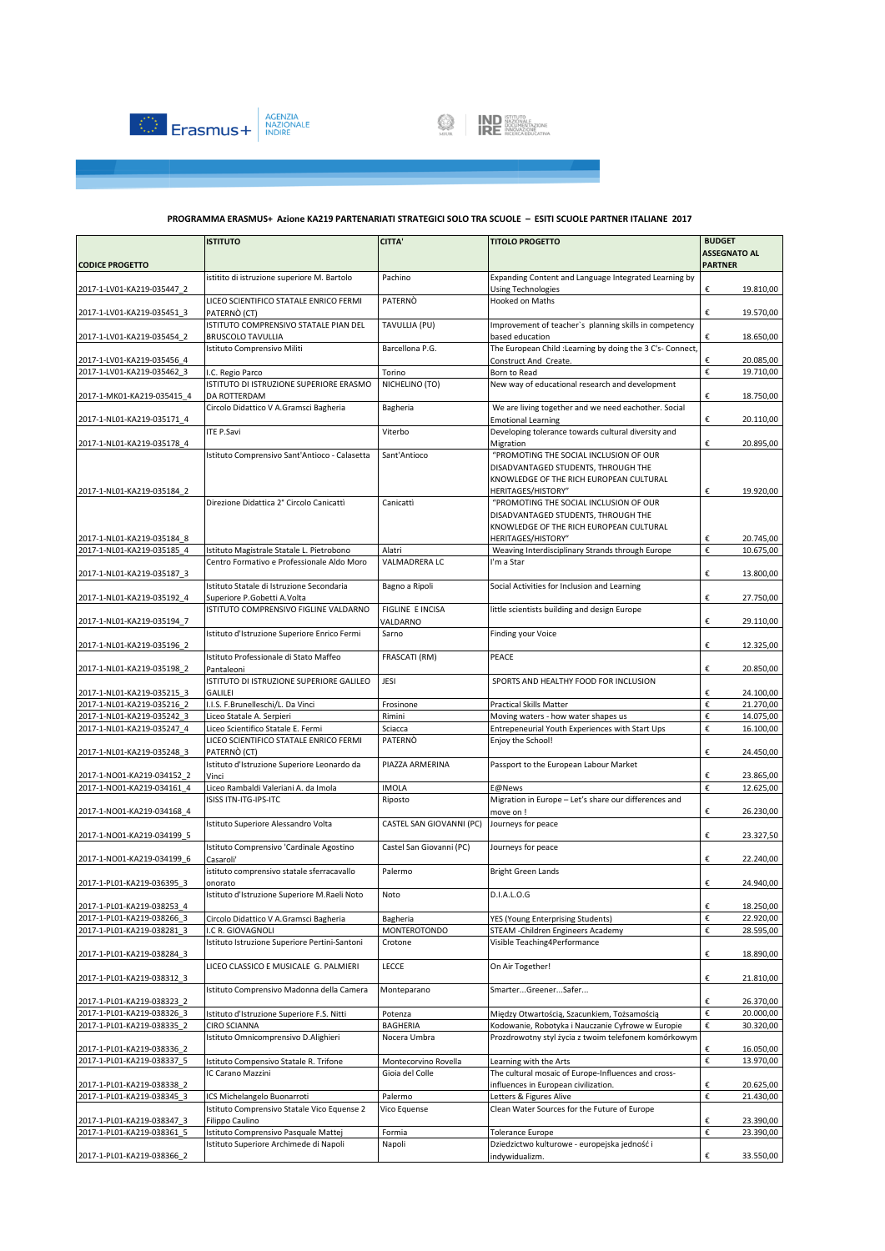

|                                                          | <b>ISTITUTO</b>                                                 | <b>CITTA'</b>            | <b>TITOLO PROGETTO</b>                                                                 | <b>BUDGET</b>                                          |
|----------------------------------------------------------|-----------------------------------------------------------------|--------------------------|----------------------------------------------------------------------------------------|--------------------------------------------------------|
| <b>CODICE PROGETTO</b>                                   |                                                                 |                          |                                                                                        | <b>ASSEGNATO AL</b><br><b>PARTNER</b>                  |
|                                                          | istitito di istruzione superiore M. Bartolo                     | Pachino                  | Expanding Content and Language Integrated Learning by                                  |                                                        |
| 2017-1-LV01-KA219-035447 2                               |                                                                 |                          | <b>Using Technologies</b>                                                              | €<br>19.810,00                                         |
| 2017-1-LV01-KA219-035451 3                               | LICEO SCIENTIFICO STATALE ENRICO FERMI<br>PATERNO (CT)          | PATERNÒ                  | Hooked on Maths                                                                        | €<br>19.570,00                                         |
|                                                          | ISTITUTO COMPRENSIVO STATALE PIAN DEL                           | TAVULLIA (PU)            | Improvement of teacher's planning skills in competency                                 |                                                        |
| 2017-1-LV01-KA219-035454 2                               | <b>BRUSCOLO TAVULLIA</b><br>Istituto Comprensivo Militi         | Barcellona P.G.          | based education<br>The European Child : Learning by doing the 3 C's- Connect,          | €<br>18.650,00                                         |
| 2017-1-LV01-KA219-035456 4                               |                                                                 |                          | Construct And Create.                                                                  | 20.085,00<br>€                                         |
| 2017-1-LV01-KA219-035462 3                               | I.C. Regio Parco                                                | Torino                   | Born to Read                                                                           | €<br>19.710,00                                         |
|                                                          | ISTITUTO DI ISTRUZIONE SUPERIORE ERASMO                         | NICHELINO (TO)           | New way of educational research and development                                        |                                                        |
| 2017-1-MK01-KA219-035415 4                               | DA ROTTERDAM                                                    |                          |                                                                                        | €<br>18.750,00                                         |
| 2017-1-NL01-KA219-035171 4                               | Circolo Didattico V A.Gramsci Bagheria                          | Bagheria                 | We are living together and we need eachother. Social<br><b>Emotional Learning</b>      | €<br>20.110,00                                         |
|                                                          | <b>ITE P.Savi</b>                                               | Viterbo                  | Developing tolerance towards cultural diversity and                                    | €                                                      |
| 2017-1-NL01-KA219-035178 4                               | Istituto Comprensivo Sant'Antioco - Calasetta                   | Sant'Antioco             | Migration<br>"PROMOTING THE SOCIAL INCLUSION OF OUR                                    | 20.895,00                                              |
|                                                          |                                                                 |                          | DISADVANTAGED STUDENTS, THROUGH THE                                                    |                                                        |
|                                                          |                                                                 |                          | KNOWLEDGE OF THE RICH EUROPEAN CULTURAL                                                |                                                        |
| 2017-1-NL01-KA219-035184 2                               |                                                                 |                          | HERITAGES/HISTORY"                                                                     | €<br>19.920,00                                         |
|                                                          | Direzione Didattica 2° Circolo Canicattì                        | Canicattì                | "PROMOTING THE SOCIAL INCLUSION OF OUR                                                 |                                                        |
|                                                          |                                                                 |                          | DISADVANTAGED STUDENTS, THROUGH THE<br>KNOWLEDGE OF THE RICH EUROPEAN CULTURAL         |                                                        |
| 2017-1-NL01-KA219-035184 8                               |                                                                 |                          | HERITAGES/HISTORY"                                                                     | €<br>20.745,00                                         |
| 2017-1-NL01-KA219-035185 4                               | Istituto Magistrale Statale L. Pietrobono                       | Alatri                   | Weaving Interdisciplinary Strands through Europe                                       | €<br>10.675,00                                         |
|                                                          | Centro Formativo e Professionale Aldo Moro                      | VALMADRERA LC            | I'm a Star                                                                             |                                                        |
| 2017-1-NL01-KA219-035187 3                               | Istituto Statale di Istruzione Secondaria                       |                          | Social Activities for Inclusion and Learning                                           | €<br>13.800,00                                         |
| 2017-1-NL01-KA219-035192 4                               | Superiore P.Gobetti A.Volta                                     | Bagno a Ripoli           |                                                                                        | €<br>27.750,00                                         |
|                                                          | ISTITUTO COMPRENSIVO FIGLINE VALDARNO                           | FIGLINE E INCISA         | little scientists building and design Europe                                           |                                                        |
| 2017-1-NL01-KA219-035194 7                               |                                                                 | VALDARNO                 |                                                                                        | €<br>29.110,00                                         |
| 2017-1-NL01-KA219-035196 2                               | Istituto d'Istruzione Superiore Enrico Fermi                    | Sarno                    | <b>Finding your Voice</b>                                                              | €<br>12.325,00                                         |
|                                                          | Istituto Professionale di Stato Maffeo                          | FRASCATI (RM)            | PEACE                                                                                  |                                                        |
| 2017-1-NL01-KA219-035198 2                               | Pantaleoni<br>ISTITUTO DI ISTRUZIONE SUPERIORE GALILEO          | JESI                     | SPORTS AND HEALTHY FOOD FOR INCLUSION                                                  | €<br>20.850,00                                         |
| 2017-1-NL01-KA219-035215 3                               | GALILEI                                                         |                          |                                                                                        | €<br>24.100,00                                         |
| 2017-1-NL01-KA219-035216 2<br>2017-1-NL01-KA219-035242 3 | I.I.S. F.Brunelleschi/L. Da Vinci                               | Frosinone<br>Rimini      | <b>Practical Skills Matter</b>                                                         | €<br>21.270,00<br>€<br>14.075,00                       |
| 2017-1-NL01-KA219-035247 4                               | Liceo Statale A. Serpieri<br>Liceo Scientifico Statale E. Fermi | Sciacca                  | Moving waters - how water shapes us<br>Entrepeneurial Youth Experiences with Start Ups | €<br>16.100,00                                         |
|                                                          | LICEO SCIENTIFICO STATALE ENRICO FERMI                          | PATERNO                  | Enjoy the School!                                                                      |                                                        |
| 2017-1-NL01-KA219-035248 3                               | PATERNÒ (CT)                                                    |                          |                                                                                        | €<br>24.450,00                                         |
|                                                          | Istituto d'Istruzione Superiore Leonardo da                     | PIAZZA ARMERINA          | Passport to the European Labour Market                                                 |                                                        |
| 2017-1-NO01-KA219-034152 2<br>2017-1-NO01-KA219-034161 4 | Vinci<br>Liceo Rambaldi Valeriani A. da Imola                   | <b>IMOLA</b>             | E@News                                                                                 | €<br>23.865,00<br>€<br>12.625,00                       |
|                                                          | ISISS ITN-ITG-IPS-ITC                                           | Riposto                  | Migration in Europe - Let's share our differences and                                  |                                                        |
| 2017-1-NO01-KA219-034168 4                               |                                                                 |                          | move on !                                                                              | €<br>26.230,00                                         |
| 2017-1-NO01-KA219-034199 5                               | Istituto Superiore Alessandro Volta                             | CASTEL SAN GIOVANNI (PC) | Journeys for peace                                                                     | €<br>23.327,50                                         |
|                                                          | Istituto Comprensivo 'Cardinale Agostino                        | Castel San Giovanni (PC) | Journeys for peace                                                                     |                                                        |
| 2017-1-NO01-KA219-034199 6                               | Casaroli'                                                       |                          |                                                                                        | €<br>22.240,00                                         |
|                                                          | istituto comprensivo statale sferracavallo<br>onorato           | Palermo                  | <b>Bright Green Lands</b>                                                              | €<br>24.940,00                                         |
| 2017-1-PL01-KA219-036395 3                               | Istituto d'Istruzione Superiore M.Raeli Noto                    | Noto                     | D.I.A.L.O.G                                                                            |                                                        |
| 2017-1-PL01-KA219-038253_4                               |                                                                 |                          |                                                                                        | €<br>18.250,00                                         |
| 2017-1-PL01-KA219-038266 3                               | Circolo Didattico V A.Gramsci Bagheria                          | Bagheria                 | YES (Young Enterprising Students)                                                      | €<br>22.920,00                                         |
| 2017-1-PL01-KA219-038281_3                               | .C R. GIOVAGNOLI                                                | MONTEROTONDO             | STEAM - Children Engineers Academy                                                     | $\boldsymbol{\epsilon}$<br>28.595,00                   |
| 2017-1-PL01-KA219-038284 3                               | Istituto Istruzione Superiore Pertini-Santoni                   | Crotone                  | Visible Teaching4Performance                                                           | €<br>18.890,00                                         |
| 2017-1-PL01-KA219-038312 3                               | LICEO CLASSICO E MUSICALE G. PALMIERI                           | LECCE                    | On Air Together!                                                                       | €<br>21.810,00                                         |
|                                                          | Istituto Comprensivo Madonna della Camera                       | Monteparano              | SmarterGreenerSafer                                                                    |                                                        |
| 2017-1-PL01-KA219-038323 2<br>2017-1-PL01-KA219-038326 3 | Istituto d'Istruzione Superiore F.S. Nitti                      | Potenza                  | Między Otwartością, Szacunkiem, Tożsamością                                            | €<br>26.370,00<br>$\boldsymbol{\epsilon}$<br>20.000,00 |
| 2017-1-PL01-KA219-038335 2                               | CIRO SCIANNA                                                    | <b>BAGHERIA</b>          | Kodowanie, Robotyka i Nauczanie Cyfrowe w Europie                                      | €<br>30.320,00                                         |
|                                                          | Istituto Omnicomprensivo D.Alighieri                            | Nocera Umbra             | Prozdrowotny styl życia z twoim telefonem komórkowym                                   |                                                        |
| 2017-1-PL01-KA219-038336_2<br>2017-1-PL01-KA219-038337 5 | Istituto Compensivo Statale R. Trifone                          | Montecorvino Rovella     | Learning with the Arts                                                                 | €<br>16.050,00<br>€<br>13.970,00                       |
|                                                          | IC Carano Mazzini                                               | Gioia del Colle          | The cultural mosaic of Europe-Influences and cross-                                    |                                                        |
| 2017-1-PL01-KA219-038338_2                               |                                                                 |                          | influences in European civilization.                                                   | €<br>20.625,00                                         |
| 2017-1-PL01-KA219-038345 3                               | ICS Michelangelo Buonarroti                                     | Palermo                  | Letters & Figures Alive                                                                | €<br>21.430,00                                         |
|                                                          | Istituto Comprensivo Statale Vico Equense 2                     | Vico Equense             | Clean Water Sources for the Future of Europe                                           |                                                        |
| 2017-1-PL01-KA219-038347_3<br>2017-1-PL01-KA219-038361 5 | Filippo Caulino<br>Istituto Comprensivo Pasquale Mattej         | Formia                   | <b>Tolerance Europe</b>                                                                | €<br>23.390,00<br>€<br>23.390,00                       |
|                                                          | Istituto Superiore Archimede di Napoli                          | Napoli                   | Dziedzictwo kulturowe - europejska jedność i                                           |                                                        |
| 2017-1-PL01-KA219-038366 2                               |                                                                 |                          | indywidualizm.                                                                         | €<br>33.550,00                                         |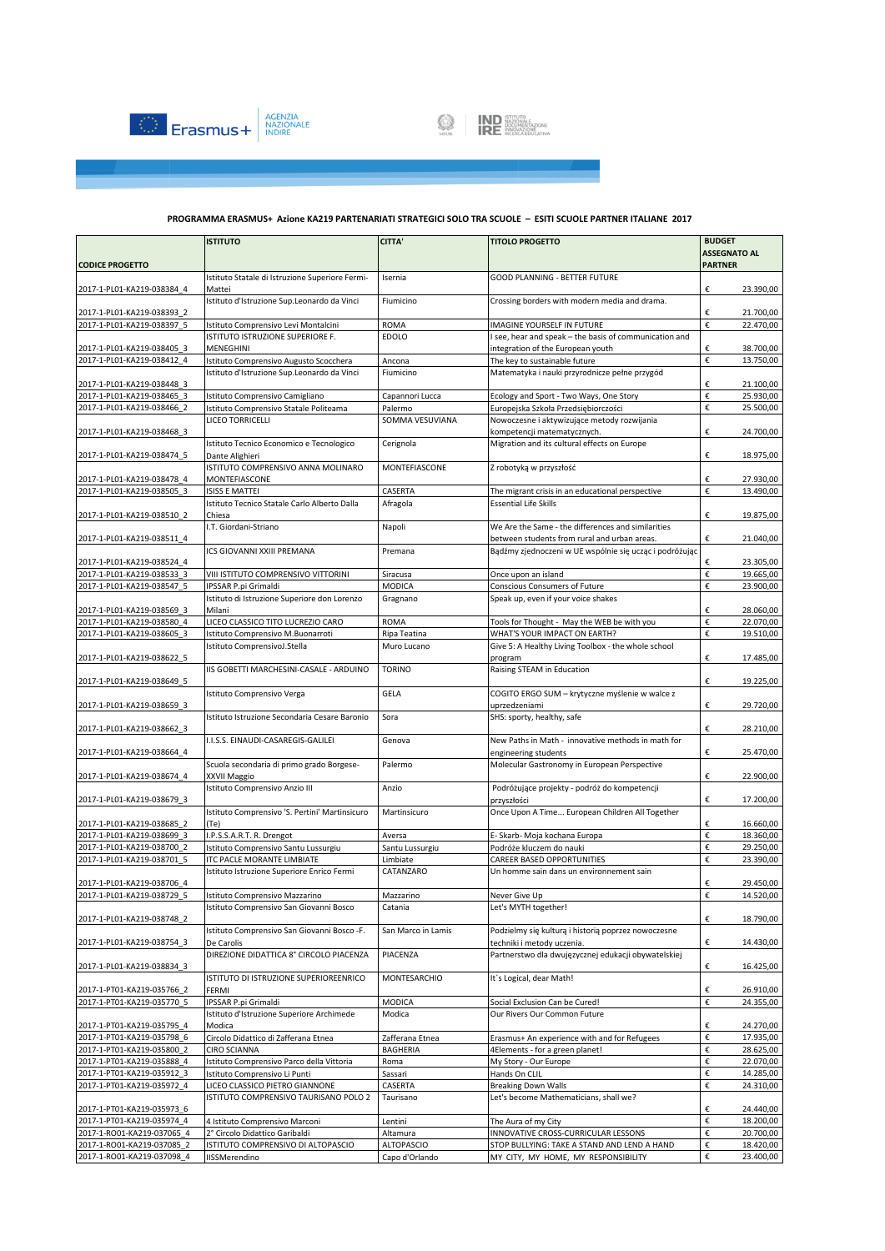

# **EXAMPLE STITUTO SAZIONALE**

|                                                          | <b>ISTITUTO</b>                                                   | <b>CITTA'</b>      | <b>TITOLO PROGETTO</b>                                                                      | <b>BUDGET</b>                        |
|----------------------------------------------------------|-------------------------------------------------------------------|--------------------|---------------------------------------------------------------------------------------------|--------------------------------------|
|                                                          |                                                                   |                    |                                                                                             | <b>ASSEGNATO AL</b>                  |
| <b>CODICE PROGETTO</b>                                   |                                                                   |                    |                                                                                             | <b>PARTNER</b>                       |
| 2017-1-PL01-KA219-038384 4                               | Istituto Statale di Istruzione Superiore Fermi-<br>Mattei         | Isernia            | GOOD PLANNING - BETTER FUTURE                                                               | €<br>23.390,00                       |
| 2017-1-PL01-KA219-038393 2                               | Istituto d'Istruzione Sup.Leonardo da Vinci                       | Fiumicino          | Crossing borders with modern media and drama.                                               | €<br>21.700,00                       |
| 2017-1-PL01-KA219-038397 5                               | Istituto Comprensivo Levi Montalcini                              | <b>ROMA</b>        | IMAGINE YOURSELF IN FUTURE                                                                  | €<br>22.470,00                       |
| 2017-1-PL01-KA219-038405 3                               | ISTITUTO ISTRUZIONE SUPERIORE F.<br>MENEGHINI                     | <b>EDOLO</b>       | I see, hear and speak - the basis of communication and<br>integration of the European youth | €<br>38.700,00                       |
| 2017-1-PL01-KA219-038412 4                               | Istituto Comprensivo Augusto Scocchera                            | Ancona             | The key to sustainable future                                                               | €<br>13.750,00                       |
|                                                          | Istituto d'Istruzione Sup.Leonardo da Vinci                       | Fiumicino          | Matematyka i nauki przyrodnicze pełne przygód                                               |                                      |
| 2017-1-PL01-KA219-038448 3                               |                                                                   |                    |                                                                                             | €<br>21.100,00                       |
| 2017-1-PL01-KA219-038465 3                               | Istituto Comprensivo Camigliano                                   | Capannori Lucca    | Ecology and Sport - Two Ways, One Story                                                     | €<br>25.930,00                       |
| 2017-1-PL01-KA219-038466 2                               | Istituto Comprensivo Statale Politeama                            | Palermo            | Europejska Szkoła Przedsiębiorczości                                                        | €<br>25.500,00                       |
| 2017-1-PL01-KA219-038468 3                               | LICEO TORRICELLI                                                  | SOMMA VESUVIANA    | Nowoczesne i aktywizujące metody rozwijania<br>kompetencji matematycznych.                  | €<br>24.700,00                       |
| 2017-1-PL01-KA219-038474 5                               | Istituto Tecnico Economico e Tecnologico<br>Dante Alighieri       | Cerignola          | Migration and its cultural effects on Europe                                                | €<br>18.975,00                       |
|                                                          | ISTITUTO COMPRENSIVO ANNA MOLINARO                                | MONTEFIASCONE      | Z robotyką w przyszłość                                                                     | €                                    |
| 2017-1-PL01-KA219-038478 4<br>2017-1-PL01-KA219-038505 3 | MONTEFIASCONE<br><b>ISISS E MATTEI</b>                            | CASERTA            | The migrant crisis in an educational perspective                                            | 27.930,00<br>€<br>13.490,00          |
|                                                          | Istituto Tecnico Statale Carlo Alberto Dalla                      | Afragola           | <b>Essential Life Skills</b>                                                                |                                      |
| 2017-1-PL01-KA219-038510 2                               | Chiesa                                                            |                    |                                                                                             | €<br>19.875,00                       |
|                                                          | I.T. Giordani-Striano                                             | Napoli             | We Are the Same - the differences and similarities                                          |                                      |
| 2017-1-PL01-KA219-038511 4                               |                                                                   |                    | between students from rural and urban areas.                                                | €<br>21.040,00                       |
| 2017-1-PL01-KA219-038524 4                               | <b>ICS GIOVANNI XXIII PREMANA</b>                                 | Premana            | Bądźmy zjednoczeni w UE wspólnie się ucząc i podróżując                                     | €<br>23.305,00                       |
| 2017-1-PL01-KA219-038533_3                               | VIII ISTITUTO COMPRENSIVO VITTORINI                               | Siracusa           | Once upon an island                                                                         | €<br>19.665,00                       |
| 2017-1-PL01-KA219-038547 5                               | IPSSAR P.pi Grimaldi                                              | <b>MODICA</b>      | Conscious Consumers of Future                                                               | €<br>23.900,00                       |
|                                                          | Istituto di Istruzione Superiore don Lorenzo                      | Gragnano           | Speak up, even if your voice shakes                                                         |                                      |
| 2017-1-PL01-KA219-038569_3                               | Milani                                                            |                    |                                                                                             | €<br>28.060,00                       |
| 2017-1-PL01-KA219-038580 4                               | LICEO CLASSICO TITO LUCREZIO CARO                                 | ROMA               | Tools for Thought - May the WEB be with you                                                 | €<br>22.070,00                       |
| 2017-1-PL01-KA219-038605_3                               | Istituto Comprensivo M.Buonarroti                                 | Ripa Teatina       | WHAT'S YOUR IMPACT ON EARTH?                                                                | €<br>19.510,00                       |
| 2017-1-PL01-KA219-038622 5                               | Istituto ComprensivoJ.Stella                                      | Muro Lucano        | Give 5: A Healthy Living Toolbox - the whole school<br>program                              | €<br>17.485,00                       |
| 2017-1-PL01-KA219-038649 5                               | IIS GOBETTI MARCHESINI-CASALE - ARDUINO                           | <b>TORINO</b>      | Raising STEAM in Education                                                                  | €<br>19.225,00                       |
| 2017-1-PL01-KA219-038659 3                               | Istituto Comprensivo Verga                                        | GELA               | COGITO ERGO SUM - krytyczne myślenie w walce z<br>uprzedzeniami                             | €<br>29.720,00                       |
| 2017-1-PL01-KA219-038662 3                               | Istituto Istruzione Secondaria Cesare Baronio                     | Sora               | SHS: sporty, healthy, safe                                                                  | €<br>28.210,00                       |
|                                                          | I.I.S.S. EINAUDI-CASAREGIS-GALILEI                                | Genova             | New Paths in Math - innovative methods in math for                                          |                                      |
| 2017-1-PL01-KA219-038664 4                               | Scuola secondaria di primo grado Borgese-                         | Palermo            | engineering students<br>Molecular Gastronomy in European Perspective                        | €<br>25.470,00                       |
| 2017-1-PL01-KA219-038674 4                               | XXVII Maggio                                                      |                    |                                                                                             | €<br>22.900,00                       |
| 2017-1-PL01-KA219-038679 3                               | Istituto Comprensivo Anzio III                                    | Anzio              | Podróżujące projekty - podróż do kompetencji<br>przyszłości                                 | €<br>17.200,00                       |
| 2017-1-PL01-KA219-038685 2                               | Istituto Comprensivo 'S. Pertini' Martinsicuro<br>(Te)            | Martinsicuro       | Once Upon A Time European Children All Together                                             | €<br>16.660,00                       |
| 2017-1-PL01-KA219-038699 3                               | I.P.S.S.A.R.T. R. Drengot                                         | Aversa             | E- Skarb- Moja kochana Europa                                                               | €<br>18.360,00                       |
| 2017-1-PL01-KA219-038700 2                               | Istituto Comprensivo Santu Lussurgiu                              | Santu Lussurgiu    | Podróże kluczem do nauki                                                                    | €<br>29.250,00                       |
| 2017-1-PL01-KA219-038701_5                               | ITC PACLE MORANTE LIMBIATE                                        | Limbiate           | CAREER BASED OPPORTUNITIES                                                                  | €<br>23.390,00                       |
|                                                          | Istituto Istruzione Superiore Enrico Fermi                        | CATANZARO          | Un homme sain dans un environnement sain                                                    |                                      |
| 2017-1-PL01-KA219-038706 4                               |                                                                   |                    |                                                                                             | €<br>29.450,00                       |
| 2017-1-PL01-KA219-038729 5                               | Istituto Comprensivo Mazzarino                                    | Mazzarino          | Never Give Up                                                                               | €<br>14.520,00                       |
| 2017-1-PL01-KA219-038748 2                               | Istituto Comprensivo San Giovanni Bosco                           | Catania            | Let's MYTH together!                                                                        | €<br>18.790,00                       |
| 2017-1-PL01-KA219-038754 3                               | Istituto Comprensivo San Giovanni Bosco -F.<br>De Carolis         | San Marco in Lamis | Podzielmy się kulturą i historią poprzez nowoczesne<br>techniki i metody uczenia.           | €<br>14.430,00                       |
| 2017-1-PL01-KA219-038834 3                               | DIREZIONE DIDATTICA 8° CIRCOLO PIACENZA                           | PIACENZA           | Partnerstwo dla dwujęzycznej edukacji obywatelskiej                                         | €<br>16.425,00                       |
|                                                          | ISTITUTO DI ISTRUZIONE SUPERIOREENRICO                            | MONTESARCHIO       | It's Logical, dear Math!                                                                    |                                      |
| 2017-1-PT01-KA219-035766_2                               | FERMI                                                             |                    | Social Exclusion Can be Cured!                                                              | €<br>26.910,00<br>€                  |
| 2017-1-PT01-KA219-035770_5                               | IPSSAR P.pi Grimaldi<br>Istituto d'Istruzione Superiore Archimede | <b>MODICA</b>      | Our Rivers Our Common Future                                                                | 24.355,00                            |
| 2017-1-PT01-KA219-035795_4                               | Modica                                                            | Modica             |                                                                                             | €<br>24.270,00                       |
| 2017-1-PT01-KA219-035798 6                               | Circolo Didattico di Zafferana Etnea                              | Zafferana Etnea    | Erasmus+ An experience with and for Refugees                                                | €<br>17.935,00                       |
| 2017-1-PT01-KA219-035800 2                               | <b>CIRO SCIANNA</b>                                               | BAGHERIA           | 4Elements - for a green planet!                                                             | €<br>28.625,00                       |
| 2017-1-PT01-KA219-035888 4                               | Istituto Comprensivo Parco della Vittoria                         | Roma               | My Story - Our Europe                                                                       | €<br>22.070,00                       |
| 2017-1-PT01-KA219-035912 3                               | Istituto Comprensivo Li Punti                                     | Sassari            | Hands On CLIL                                                                               | €<br>14.285,00                       |
| 2017-1-PT01-KA219-035972 4                               | LICEO CLASSICO PIETRO GIANNONE                                    | CASERTA            | <b>Breaking Down Walls</b>                                                                  | €<br>24.310,00                       |
|                                                          | ISTITUTO COMPRENSIVO TAURISANO POLO 2                             | Taurisano          | Let's become Mathematicians, shall we?                                                      |                                      |
| 2017-1-PT01-KA219-035973 6                               |                                                                   |                    |                                                                                             | €<br>24.440,00                       |
| 2017-1-PT01-KA219-035974 4                               | 4 Istituto Comprensivo Marconi                                    | Lentini            | The Aura of my City                                                                         | €<br>18.200,00                       |
| 2017-1-RO01-KA219-037065 4                               | 2° Circolo Didattico Garibaldi                                    | Altamura           | INNOVATIVE CROSS-CURRICULAR LESSONS                                                         | €<br>20.700,00                       |
| 2017-1-RO01-KA219-037085 2                               | ISTITUTO COMPRENSIVO DI ALTOPASCIO                                | <b>ALTOPASCIO</b>  | STOP BULLYING: TAKE A STAND AND LEND A HAND                                                 | $\boldsymbol{\epsilon}$<br>18.420,00 |
| 2017-1-RO01-KA219-037098_4                               | IISSMerendino                                                     | Capo d'Orlando     | MY CITY, MY HOME, MY RESPONSIBILITY                                                         | €<br>23.400,00                       |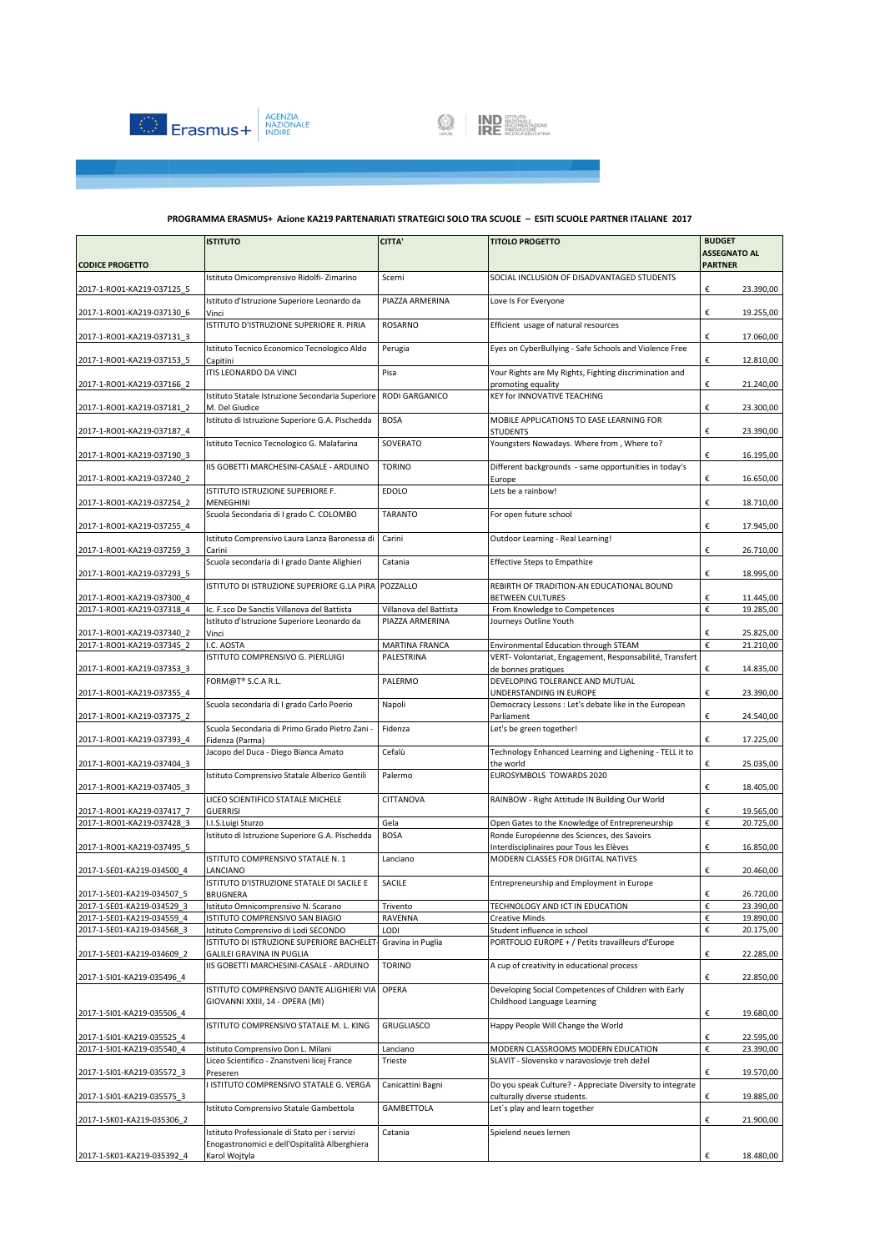



|                                                          | <b>ISTITUTO</b>                                                               | <b>CITTA'</b>          | <b>TITOLO PROGETTO</b>                                                                        | <b>BUDGET</b>                         |
|----------------------------------------------------------|-------------------------------------------------------------------------------|------------------------|-----------------------------------------------------------------------------------------------|---------------------------------------|
| <b>CODICE PROGETTO</b>                                   |                                                                               |                        |                                                                                               | <b>ASSEGNATO AL</b><br><b>PARTNER</b> |
|                                                          | Istituto Omicomprensivo Ridolfi-Zimarino                                      | Scerni                 | SOCIAL INCLUSION OF DISADVANTAGED STUDENTS                                                    |                                       |
| 2017-1-RO01-KA219-037125_5                               | Istituto d'Istruzione Superiore Leonardo da                                   | PIAZZA ARMERINA        | Love Is For Everyone                                                                          | €<br>23.390,00                        |
| 2017-1-RO01-KA219-037130 6                               | Vinci                                                                         |                        |                                                                                               | €<br>19.255,00                        |
| 2017-1-RO01-KA219-037131 3                               | ISTITUTO D'ISTRUZIONE SUPERIORE R. PIRIA                                      | <b>ROSARNO</b>         | Efficient usage of natural resources                                                          | €<br>17.060,00                        |
| 2017-1-RO01-KA219-037153 5                               | Istituto Tecnico Economico Tecnologico Aldo<br>Capitini                       | Perugia                | Eyes on CyberBullying - Safe Schools and Violence Free                                        | €<br>12.810,00                        |
| 2017-1-RO01-KA219-037166 2                               | ITIS LEONARDO DA VINCI                                                        | Pisa                   | Your Rights are My Rights, Fighting discrimination and<br>promoting equality                  | €<br>21.240,00                        |
| 2017-1-RO01-KA219-037181 2                               | Istituto Statale Istruzione Secondaria Superiore<br>M. Del Giudice            | RODI GARGANICO         | KEY for INNOVATIVE TEACHING                                                                   | €<br>23.300,00                        |
| 2017-1-RO01-KA219-037187 4                               | Istituto di Istruzione Superiore G.A. Pischedda                               | <b>BOSA</b>            | MOBILE APPLICATIONS TO EASE LEARNING FOR<br>STUDENTS                                          | €<br>23.390,00                        |
| 2017-1-RO01-KA219-037190 3                               | Istituto Tecnico Tecnologico G. Malafarina                                    | SOVERATO               | Youngsters Nowadays. Where from, Where to?                                                    | €<br>16.195,00                        |
|                                                          | IIS GOBETTI MARCHESINI-CASALE - ARDUINO                                       | <b>TORINO</b>          | Different backgrounds - same opportunities in today's                                         |                                       |
| 2017-1-RO01-KA219-037240 2                               | ISTITUTO ISTRUZIONE SUPERIORE F.                                              | <b>EDOLO</b>           | Europe<br>Lets be a rainbow!                                                                  | €<br>16.650,00                        |
| 2017-1-RO01-KA219-037254_2                               | MENEGHINI<br>Scuola Secondaria di I grado C. COLOMBO                          | <b>TARANTO</b>         | For open future school                                                                        | €<br>18.710,00                        |
| 2017-1-RO01-KA219-037255 4                               | Istituto Comprensivo Laura Lanza Baronessa di                                 | Carini                 | Outdoor Learning - Real Learning!                                                             | €<br>17.945,00                        |
| 2017-1-RO01-KA219-037259 3                               | Carini<br>Scuola secondaria di I grado Dante Alighieri                        | Catania                | <b>Effective Steps to Empathize</b>                                                           | €<br>26.710,00                        |
| 2017-1-RO01-KA219-037293_5                               |                                                                               |                        |                                                                                               | €<br>18.995,00                        |
| 2017-1-RO01-KA219-037300 4                               | ISTITUTO DI ISTRUZIONE SUPERIORE G.LA PIRA POZZALLO                           |                        | REBIRTH OF TRADITION-AN EDUCATIONAL BOUND<br><b>BETWEEN CULTURES</b>                          | €<br>11.445,00                        |
| 2017-1-RO01-KA219-037318 4                               | Ic. F.sco De Sanctis Villanova del Battista                                   | Villanova del Battista | From Knowledge to Competences                                                                 | €<br>19.285,00                        |
| 2017-1-RO01-KA219-037340 2                               | Istituto d'Istruzione Superiore Leonardo da<br>Vinci                          | PIAZZA ARMERINA        | Journeys Outline Youth                                                                        | €<br>25.825,00                        |
| 2017-1-RO01-KA219-037345 2                               | I.C. AOSTA                                                                    | MARTINA FRANCA         | Environmental Education through STEAM                                                         | €<br>21.210,00                        |
| 2017-1-RO01-KA219-037353 3                               | ISTITUTO COMPRENSIVO G. PIERLUIGI                                             | PALESTRINA             | VERT- Volontariat, Engagement, Responsabilité, Transfert<br>de bonnes pratiques               | €<br>14.835,00                        |
| 2017-1-RO01-KA219-037355 4                               | FORM@T® S.C.A R.L.                                                            | PALERMO                | DEVELOPING TOLERANCE AND MUTUAL<br>UNDERSTANDING IN EUROPE                                    | €<br>23.390,00                        |
|                                                          | Scuola secondaria di I grado Carlo Poerio                                     | Napoli                 | Democracy Lessons : Let's debate like in the European                                         | €<br>24.540,00                        |
| 2017-1-RO01-KA219-037375_2<br>2017-1-RO01-KA219-037393 4 | Scuola Secondaria di Primo Grado Pietro Zani -                                | Fidenza                | Parliament<br>Let's be green together!                                                        | €<br>17.225,00                        |
|                                                          | Fidenza (Parma)<br>Jacopo del Duca - Diego Bianca Amato                       | Cefalù                 | Technology Enhanced Learning and Lighening - TELL it to                                       |                                       |
| 2017-1-RO01-KA219-037404 3                               | Istituto Comprensivo Statale Alberico Gentili                                 | Palermo                | the world<br>EUROSYMBOLS TOWARDS 2020                                                         | €<br>25.035,00                        |
| 2017-1-RO01-KA219-037405 3                               | LICEO SCIENTIFICO STATALE MICHELE                                             | CITTANOVA              | RAINBOW - Right Attitude IN Building Our World                                                | €<br>18.405,00                        |
| 2017-1-RO01-KA219-037417 7                               | <b>GUERRISI</b>                                                               |                        |                                                                                               | €<br>19.565,00                        |
| 2017-1-RO01-KA219-037428 3                               | I.I.S.Luigi Sturzo<br>Istituto di Istruzione Superiore G.A. Pischedda         | Gela<br><b>BOSA</b>    | Open Gates to the Knowledge of Entrepreneurship<br>Ronde Européenne des Sciences, des Savoirs | €<br>20.725,00                        |
| 2017-1-RO01-KA219-037495 5                               |                                                                               |                        | Interdisciplinaires pour Tous les Elèves                                                      | €<br>16.850,00                        |
| 2017-1-SE01-KA219-034500 4                               | ISTITUTO COMPRENSIVO STATALE N. 1<br>LANCIANO                                 | Lanciano               | MODERN CLASSES FOR DIGITAL NATIVES                                                            | €<br>20.460,00                        |
| 2017-1-SE01-KA219-034507 5                               | ISTITUTO D'ISTRUZIONE STATALE DI SACILE E<br><b>BRUGNERA</b>                  | SACILE                 | Entrepreneurship and Employment in Europe                                                     | €<br>26.720,00                        |
| 2017-1-SE01-KA219-034529_3                               | Istituto Omnicomprensivo N. Scarano                                           | Trivento               | TECHNOLOGY AND ICT IN EDUCATION                                                               | €<br>23.390,00                        |
| 2017-1-SE01-KA219-034559 4                               | ISTITUTO COMPRENSIVO SAN BIAGIO                                               | RAVENNA                | <b>Creative Minds</b>                                                                         | €<br>19.890,00                        |
| 2017-1-SE01-KA219-034568 3                               | Istituto Comprensivo di Lodi SECONDO                                          | LODI                   | Student influence in school                                                                   | €<br>20.175,00                        |
| 2017-1-SE01-KA219-034609 2                               | ISTITUTO DI ISTRUZIONE SUPERIORE BACHELET<br><b>GALILEI GRAVINA IN PUGLIA</b> | Gravina in Puglia      | PORTFOLIO EUROPE + / Petits travailleurs d'Europe                                             | €<br>22.285,00                        |
| 2017-1-SI01-KA219-035496 4                               | IIS GOBETTI MARCHESINI-CASALE - ARDUINO                                       | <b>TORINO</b>          | A cup of creativity in educational process                                                    | €<br>22.850,00                        |
|                                                          | ISTITUTO COMPRENSIVO DANTE ALIGHIERI VIA<br>GIOVANNI XXIII, 14 - OPERA (MI)   | OPERA                  | Developing Social Competences of Children with Early<br>Childhood Language Learning           |                                       |
| 2017-1-SI01-KA219-035506 4                               | ISTITUTO COMPRENSIVO STATALE M. L. KING                                       | GRUGLIASCO             | Happy People Will Change the World                                                            | 19.680,00<br>€                        |
| 2017-1-SI01-KA219-035525 4                               |                                                                               |                        |                                                                                               | €<br>22.595,00                        |
| 2017-1-SI01-KA219-035540 4                               | Istituto Comprensivo Don L. Milani                                            | Lanciano               | MODERN CLASSROOMS MODERN EDUCATION                                                            | €<br>23.390,00                        |
| 2017-1-SI01-KA219-035572 3                               | Liceo Scientifico - Znanstveni licej France<br>Preseren                       | Trieste                | SLAVIT - Slovensko v naravoslovje treh dežel                                                  | €<br>19.570,00                        |
| 2017-1-SI01-KA219-035575 3                               | I ISTITUTO COMPRENSIVO STATALE G. VERGA                                       | Canicattini Bagni      | Do you speak Culture? - Appreciate Diversity to integrate<br>culturally diverse students.     | €<br>19.885,00                        |
|                                                          | Istituto Comprensivo Statale Gambettola                                       | GAMBETTOLA             | Let's play and learn together                                                                 |                                       |
| 2017-1-SK01-KA219-035306 2                               | Istituto Professionale di Stato per i servizi                                 | Catania                | Spielend neues lernen                                                                         | €<br>21.900,00                        |
|                                                          | Enogastronomici e dell'Ospitalità Alberghiera                                 |                        |                                                                                               |                                       |
| 2017-1-SK01-KA219-035392_4                               | Karol Wojtyla                                                                 |                        |                                                                                               | €<br>18.480,00                        |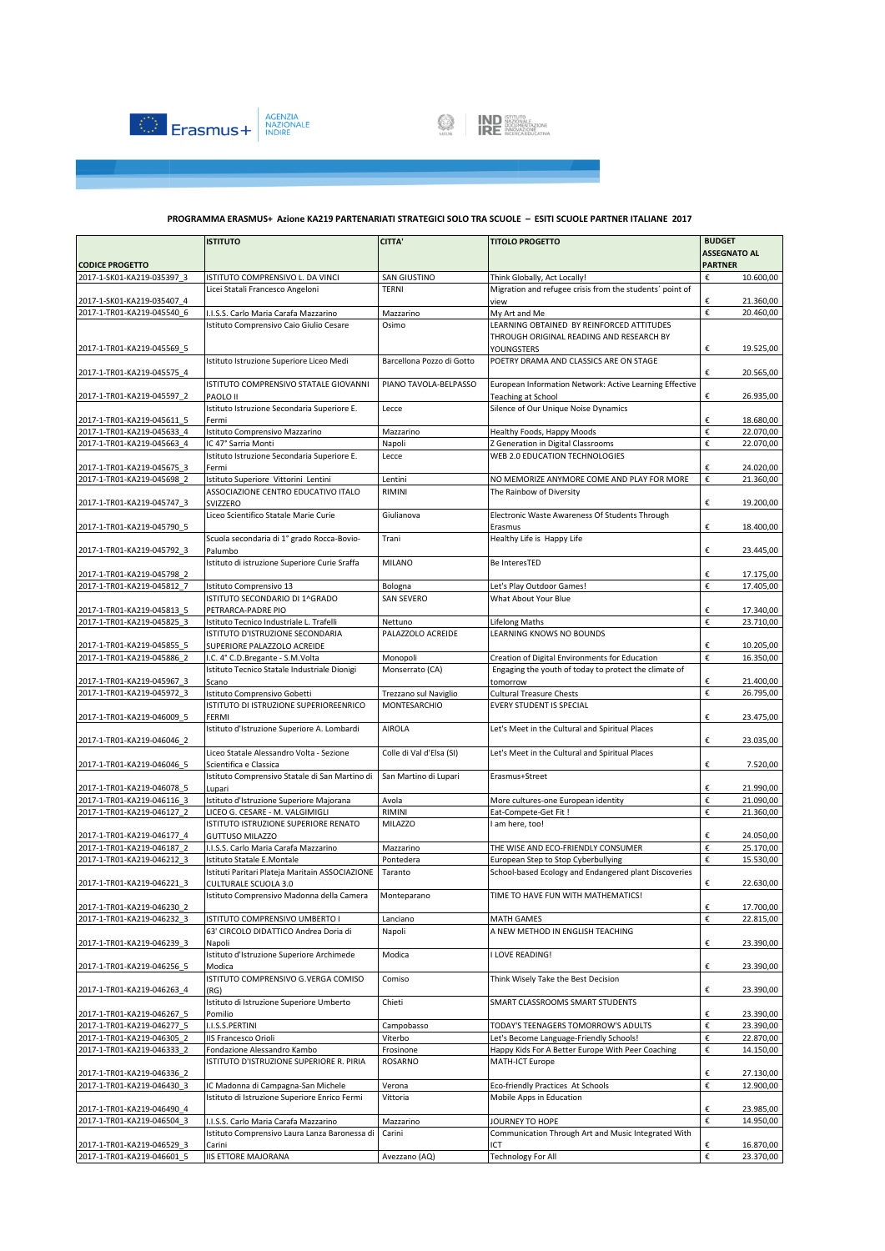



|                                                          | <b>ISTITUTO</b>                                                                  | <b>CITTA'</b>             | <b>TITOLO PROGETTO</b>                                                                                  | <b>BUDGET</b>                         |
|----------------------------------------------------------|----------------------------------------------------------------------------------|---------------------------|---------------------------------------------------------------------------------------------------------|---------------------------------------|
| <b>CODICE PROGETTO</b>                                   |                                                                                  |                           |                                                                                                         | <b>ASSEGNATO AL</b><br><b>PARTNER</b> |
| 2017-1-SK01-KA219-035397 3                               | ISTITUTO COMPRENSIVO L. DA VINCI                                                 | SAN GIUSTINO              | Think Globally, Act Locally!                                                                            | €<br>10.600,00                        |
|                                                          | Licei Statali Francesco Angeloni                                                 | <b>TERNI</b>              | Migration and refugee crisis from the students' point of                                                |                                       |
| 2017-1-SK01-KA219-035407 4                               |                                                                                  |                           | view                                                                                                    | €<br>21.360,00                        |
| 2017-1-TR01-KA219-045540 6                               | I.I.S.S. Carlo Maria Carafa Mazzarino                                            | Mazzarino                 | My Art and Me                                                                                           | €<br>20.460,00                        |
|                                                          | Istituto Comprensivo Caio Giulio Cesare                                          | Osimo                     | LEARNING OBTAINED BY REINFORCED ATTITUDES<br>THROUGH ORIGINAL READING AND RESEARCH BY                   |                                       |
| 2017-1-TR01-KA219-045569 5                               |                                                                                  |                           | YOUNGSTERS                                                                                              | €<br>19.525,00                        |
|                                                          | Istituto Istruzione Superiore Liceo Medi                                         | Barcellona Pozzo di Gotto | POETRY DRAMA AND CLASSICS ARE ON STAGE                                                                  |                                       |
| 2017-1-TR01-KA219-045575 4                               |                                                                                  |                           |                                                                                                         | €<br>20.565,00                        |
|                                                          | ISTITUTO COMPRENSIVO STATALE GIOVANNI                                            | PIANO TAVOLA-BELPASSO     | European Information Network: Active Learning Effective                                                 |                                       |
| 2017-1-TR01-KA219-045597 2                               | PAOLO II<br>Istituto Istruzione Secondaria Superiore E.                          | Lecce                     | Teaching at School                                                                                      | €<br>26.935,00                        |
| 2017-1-TR01-KA219-045611 5                               | Fermi                                                                            |                           | Silence of Our Unique Noise Dynamics                                                                    | €<br>18.680,00                        |
| 2017-1-TR01-KA219-045633 4                               | Istituto Comprensivo Mazzarino                                                   | Mazzarino                 | Healthy Foods, Happy Moods                                                                              | €<br>22.070,00                        |
| 2017-1-TR01-KA219-045663 4                               | IC 47° Sarria Monti                                                              | Napoli                    | Z Generation in Digital Classrooms                                                                      | €<br>22.070,00                        |
|                                                          | Istituto Istruzione Secondaria Superiore E.                                      | Lecce                     | WEB 2.0 EDUCATION TECHNOLOGIES                                                                          |                                       |
| 2017-1-TR01-KA219-045675 3                               | Fermi                                                                            |                           |                                                                                                         | €<br>24.020,00                        |
| 2017-1-TR01-KA219-045698 2                               | Istituto Superiore Vittorini Lentini                                             | Lentini                   | NO MEMORIZE ANYMORE COME AND PLAY FOR MORE                                                              | €<br>21.360,00                        |
| 2017-1-TR01-KA219-045747_3                               | ASSOCIAZIONE CENTRO EDUCATIVO ITALO<br>SVIZZERO                                  | RIMINI                    | The Rainbow of Diversity                                                                                | €<br>19.200,00                        |
|                                                          | Liceo Scientifico Statale Marie Curie                                            | Giulianova                | Electronic Waste Awareness Of Students Through                                                          |                                       |
| 2017-1-TR01-KA219-045790 5                               |                                                                                  |                           | Erasmus                                                                                                 | €<br>18.400,00                        |
|                                                          | Scuola secondaria di 1º grado Rocca-Bovio-                                       | Trani                     | Healthy Life is Happy Life                                                                              |                                       |
| 2017-1-TR01-KA219-045792 3                               | Palumbo                                                                          |                           |                                                                                                         | €<br>23.445,00                        |
|                                                          | Istituto di istruzione Superiore Curie Sraffa                                    | <b>MILANO</b>             | Be InteresTED                                                                                           |                                       |
| 2017-1-TR01-KA219-045798 2<br>2017-1-TR01-KA219-045812 7 | Istituto Comprensivo 13                                                          | Bologna                   | Let's Play Outdoor Games!                                                                               | €<br>17.175,00<br>€<br>17.405,00      |
|                                                          | ISTITUTO SECONDARIO DI 1^GRADO                                                   | SAN SEVERO                | What About Your Blue                                                                                    |                                       |
| 2017-1-TR01-KA219-045813 5                               | PETRARCA-PADRE PIO                                                               |                           |                                                                                                         | €<br>17.340,00                        |
| 2017-1-TR01-KA219-045825 3                               | Istituto Tecnico Industriale L. Trafelli                                         | Nettuno                   | <b>Lifelong Maths</b>                                                                                   | €<br>23.710,00                        |
|                                                          | ISTITUTO D'ISTRUZIONE SECONDARIA                                                 | PALAZZOLO ACREIDE         | LEARNING KNOWS NO BOUNDS                                                                                |                                       |
| 2017-1-TR01-KA219-045855 5<br>2017-1-TR01-KA219-045886 2 | SUPERIORE PALAZZOLO ACREIDE                                                      | Monopoli                  |                                                                                                         | €<br>10.205,00<br>€<br>16.350,00      |
|                                                          | I.C. 4° C.D.Bregante - S.M.Volta<br>Istituto Tecnico Statale Industriale Dionigi | Monserrato (CA)           | Creation of Digital Environments for Education<br>Engaging the youth of today to protect the climate of |                                       |
| 2017-1-TR01-KA219-045967 3                               | Scano                                                                            |                           | tomorrow                                                                                                | €<br>21.400,00                        |
| 2017-1-TR01-KA219-045972 3                               | Istituto Comprensivo Gobetti                                                     | Trezzano sul Naviglio     | <b>Cultural Treasure Chests</b>                                                                         | €<br>26.795,00                        |
|                                                          | ISTITUTO DI ISTRUZIONE SUPERIOREENRICO                                           | MONTESARCHIO              | <b>EVERY STUDENT IS SPECIAL</b>                                                                         |                                       |
| 2017-1-TR01-KA219-046009 5                               | FERMI                                                                            |                           |                                                                                                         | €<br>23.475,00                        |
| 2017-1-TR01-KA219-046046 2                               | Istituto d'Istruzione Superiore A. Lombardi                                      | <b>AIROLA</b>             | Let's Meet in the Cultural and Spiritual Places                                                         | €<br>23.035,00                        |
|                                                          | Liceo Statale Alessandro Volta - Sezione                                         | Colle di Val d'Elsa (SI)  | Let's Meet in the Cultural and Spiritual Places                                                         |                                       |
| 2017-1-TR01-KA219-046046 5                               | Scientifica e Classica                                                           |                           |                                                                                                         | €<br>7.520,00                         |
|                                                          | Istituto Comprensivo Statale di San Martino di                                   | San Martino di Lupari     | Erasmus+Street                                                                                          |                                       |
| 2017-1-TR01-KA219-046078 5                               | Lupari                                                                           |                           |                                                                                                         | €<br>21.990,00                        |
| 2017-1-TR01-KA219-046116 3<br>2017-1-TR01-KA219-046127 2 | Istituto d'Istruzione Superiore Majorana<br>LICEO G. CESARE - M. VALGIMIGLI      | Avola<br>RIMINI           | More cultures-one European identity<br>Eat-Compete-Get Fit !                                            | 21.090,00<br>€<br>€<br>21.360,00      |
|                                                          | ISTITUTO ISTRUZIONE SUPERIORE RENATO                                             | <b>MILAZZO</b>            | I am here, too!                                                                                         |                                       |
| 2017-1-TR01-KA219-046177_4                               | <b>GUTTUSO MILAZZO</b>                                                           |                           |                                                                                                         | 24.050,00<br>€                        |
| 2017-1-TR01-KA219-046187 2                               | I.I.S.S. Carlo Maria Carafa Mazzarino                                            | Mazzarino                 | THE WISE AND ECO-FRIENDLY CONSUMER                                                                      | €<br>25.170,00                        |
| 2017-1-TR01-KA219-046212_3                               | Istituto Statale E.Montale                                                       | Pontedera                 | European Step to Stop Cyberbullying                                                                     | €<br>15.530,00                        |
|                                                          | Istituti Paritari Plateja Maritain ASSOCIAZIONE                                  | Taranto                   | School-based Ecology and Endangered plant Discoveries                                                   |                                       |
| 2017-1-TR01-KA219-046221 3                               | <b>CULTURALE SCUOLA 3.0</b><br>Istituto Comprensivo Madonna della Camera         | Monteparano               | TIME TO HAVE FUN WITH MATHEMATICS!                                                                      | €<br>22.630,00                        |
| 2017-1-TR01-KA219-046230 2                               |                                                                                  |                           |                                                                                                         | €<br>17.700,00                        |
| 2017-1-TR01-KA219-046232 3                               | ISTITUTO COMPRENSIVO UMBERTO I                                                   | Lanciano                  | <b>MATH GAMES</b>                                                                                       | €<br>22.815,00                        |
|                                                          | 63' CIRCOLO DIDATTICO Andrea Doria di                                            | Napoli                    | A NEW METHOD IN ENGLISH TEACHING                                                                        |                                       |
| 2017-1-TR01-KA219-046239 3                               | Napoli                                                                           |                           |                                                                                                         | €<br>23.390,00                        |
| 2017-1-TR01-KA219-046256 5                               | Istituto d'Istruzione Superiore Archimede                                        | Modica                    | I LOVE READING!                                                                                         | €<br>23.390,00                        |
|                                                          | Modica<br>ISTITUTO COMPRENSIVO G.VERGA COMISO                                    | Comiso                    | Think Wisely Take the Best Decision                                                                     |                                       |
| 2017-1-TR01-KA219-046263 4                               | (RG)                                                                             |                           |                                                                                                         | €<br>23.390,00                        |
|                                                          | Istituto di Istruzione Superiore Umberto                                         | Chieti                    | SMART CLASSROOMS SMART STUDENTS                                                                         |                                       |
| 2017-1-TR01-KA219-046267 5                               | Pomilio                                                                          |                           |                                                                                                         | 23.390,00<br>€                        |
| 2017-1-TR01-KA219-046277 5                               | I.I.S.S.PERTINI                                                                  | Campobasso                | TODAY'S TEENAGERS TOMORROW'S ADULTS                                                                     | €<br>23.390,00                        |
| 2017-1-TR01-KA219-046305 2<br>2017-1-TR01-KA219-046333 2 | <b>IIS Francesco Orioli</b><br>Fondazione Alessandro Kambo                       | Viterbo<br>Frosinone      | Let's Become Language-Friendly Schools!<br>Happy Kids For A Better Europe With Peer Coaching            | €<br>22.870,00<br>€<br>14.150,00      |
|                                                          | ISTITUTO D'ISTRUZIONE SUPERIORE R. PIRIA                                         | ROSARNO                   | MATH-ICT Europe                                                                                         |                                       |
| 2017-1-TR01-KA219-046336 2                               |                                                                                  |                           |                                                                                                         | €<br>27.130,00                        |
| 2017-1-TR01-KA219-046430 3                               | IC Madonna di Campagna-San Michele                                               | Verona                    | Eco-friendly Practices At Schools                                                                       | €<br>12.900,00                        |
|                                                          | Istituto di Istruzione Superiore Enrico Fermi                                    | Vittoria                  | Mobile Apps in Education                                                                                |                                       |
| 2017-1-TR01-KA219-046490 4                               |                                                                                  |                           |                                                                                                         | €<br>23.985,00                        |
| 2017-1-TR01-KA219-046504 3                               | I.I.S.S. Carlo Maria Carafa Mazzarino                                            | Mazzarino<br>Carini       | JOURNEY TO HOPE<br>Communication Through Art and Music Integrated With                                  | 14.950,00<br>€                        |
| 2017-1-TR01-KA219-046529 3                               | Istituto Comprensivo Laura Lanza Baronessa di<br>Carini                          |                           | ICT                                                                                                     | €<br>16.870,00                        |
| 2017-1-TR01-KA219-046601 5                               | <b>IIS ETTORE MAJORANA</b>                                                       | Avezzano (AQ)             | <b>Technology For All</b>                                                                               | €<br>23.370,00                        |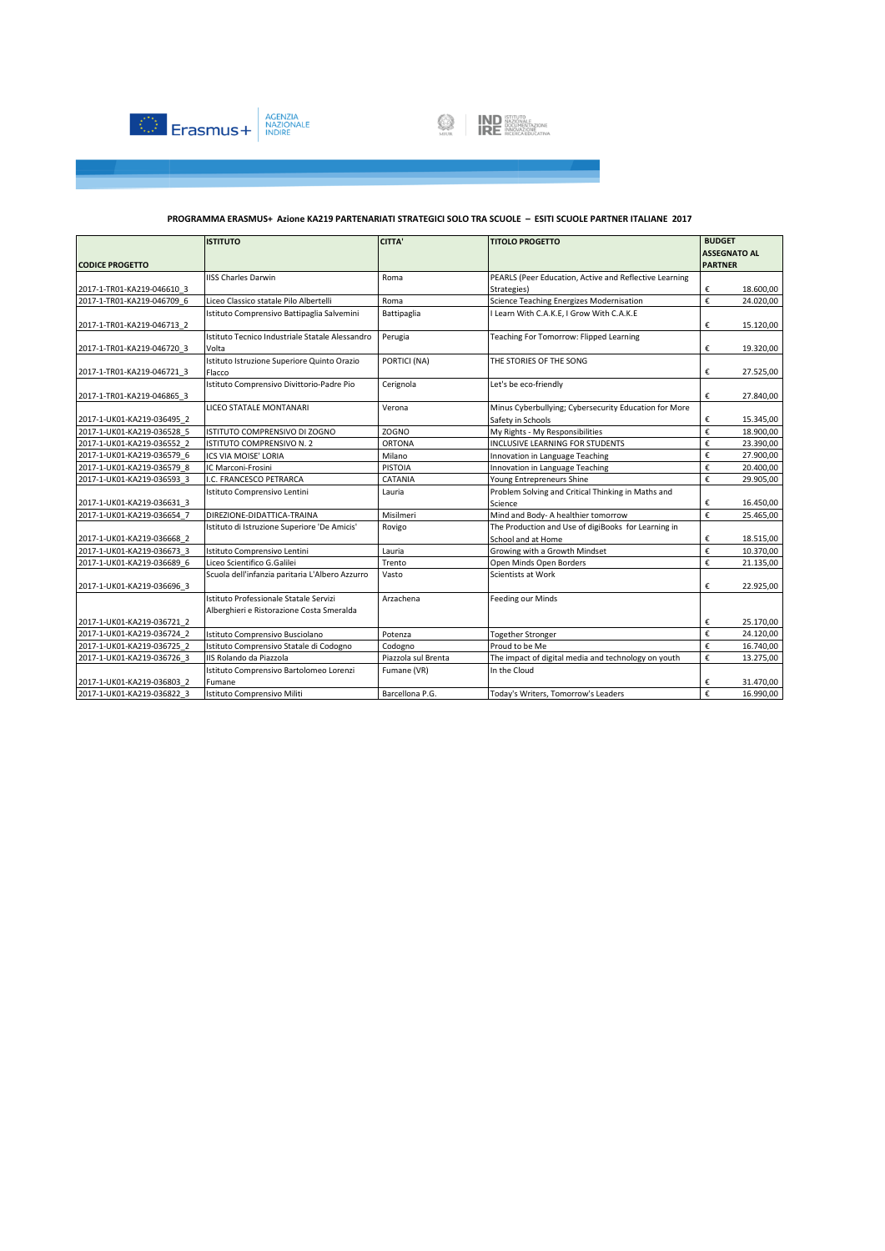



|                            | <b>ISTITUTO</b>                                 | <b>CITTA'</b>       | <b>TITOLO PROGETTO</b>                                 | <b>BUDGET</b>  |                     |  |
|----------------------------|-------------------------------------------------|---------------------|--------------------------------------------------------|----------------|---------------------|--|
|                            |                                                 |                     |                                                        |                | <b>ASSEGNATO AL</b> |  |
| <b>CODICE PROGETTO</b>     |                                                 |                     |                                                        | <b>PARTNER</b> |                     |  |
|                            | <b>IISS Charles Darwin</b>                      | Roma                | PEARLS (Peer Education, Active and Reflective Learning |                |                     |  |
| 2017-1-TR01-KA219-046610 3 |                                                 |                     | Strategies)                                            | €              | 18.600,00           |  |
| 2017-1-TR01-KA219-046709 6 | Liceo Classico statale Pilo Albertelli          | Roma                | Science Teaching Energizes Modernisation               | €              | 24.020,00           |  |
|                            | Istituto Comprensivo Battipaglia Salvemini      | Battipaglia         | I Learn With C.A.K.E, I Grow With C.A.K.E              |                |                     |  |
| 2017-1-TR01-KA219-046713 2 |                                                 |                     |                                                        | €              | 15.120,00           |  |
|                            | Istituto Tecnico Industriale Statale Alessandro | Perugia             | Teaching For Tomorrow: Flipped Learning                |                |                     |  |
| 2017-1-TR01-KA219-046720 3 | Volta                                           |                     |                                                        | €              | 19.320,00           |  |
|                            | Istituto Istruzione Superiore Quinto Orazio     | PORTICI (NA)        | THE STORIES OF THE SONG                                |                |                     |  |
| 2017-1-TR01-KA219-046721 3 | Flacco                                          |                     |                                                        | €              | 27.525,00           |  |
|                            | Istituto Comprensivo Divittorio-Padre Pio       | Cerignola           | Let's be eco-friendly                                  |                |                     |  |
| 2017-1-TR01-KA219-046865 3 |                                                 |                     |                                                        | €              | 27.840,00           |  |
|                            | LICEO STATALE MONTANARI                         | Verona              | Minus Cyberbullying; Cybersecurity Education for More  |                |                     |  |
| 2017-1-UK01-KA219-036495 2 |                                                 |                     | Safety in Schools                                      | €              | 15.345,00           |  |
| 2017-1-UK01-KA219-036528 5 | ISTITUTO COMPRENSIVO DI ZOGNO                   | <b>ZOGNO</b>        | My Rights - My Responsibilities                        | €              | 18.900,00           |  |
| 2017-1-UK01-KA219-036552 2 | ISTITUTO COMPRENSIVO N. 2                       | <b>ORTONA</b>       | INCLUSIVE LEARNING FOR STUDENTS                        | €              | 23.390,00           |  |
| 2017-1-UK01-KA219-036579 6 | ICS VIA MOISE' LORIA                            | Milano              | Innovation in Language Teaching                        | €              | 27.900,00           |  |
| 2017-1-UK01-KA219-036579 8 | IC Marconi-Frosini                              | <b>PISTOIA</b>      | Innovation in Language Teaching                        | €              | 20.400.00           |  |
| 2017-1-UK01-KA219-036593 3 | I.C. FRANCESCO PETRARCA                         | CATANIA             | Young Entrepreneurs Shine                              | €              | 29.905,00           |  |
|                            | Istituto Comprensivo Lentini                    | Lauria              | Problem Solving and Critical Thinking in Maths and     |                |                     |  |
| 2017-1-UK01-KA219-036631 3 |                                                 |                     | Science                                                | €              | 16.450,00           |  |
| 2017-1-UK01-KA219-036654 7 | DIREZIONE-DIDATTICA-TRAINA                      | Misilmeri           | Mind and Body- A healthier tomorrow                    | €              | 25.465,00           |  |
|                            | Istituto di Istruzione Superiore 'De Amicis'    | Rovigo              | The Production and Use of digiBooks for Learning in    |                |                     |  |
| 2017-1-UK01-KA219-036668 2 |                                                 |                     | School and at Home                                     | €              | 18.515,00           |  |
| 2017-1-UK01-KA219-036673 3 | Istituto Comprensivo Lentini                    | Lauria              | Growing with a Growth Mindset                          | €              | 10.370,00           |  |
| 2017-1-UK01-KA219-036689 6 | Liceo Scientifico G.Galilei                     | Trento              | Open Minds Open Borders                                | €              | 21.135,00           |  |
|                            | Scuola dell'infanzia paritaria L'Albero Azzurro | Vasto               | Scientists at Work                                     |                |                     |  |
| 2017-1-UK01-KA219-036696 3 |                                                 |                     |                                                        | €              | 22.925,00           |  |
|                            | Istituto Professionale Statale Servizi          | Arzachena           | Feeding our Minds                                      |                |                     |  |
|                            | Alberghieri e Ristorazione Costa Smeralda       |                     |                                                        |                |                     |  |
| 2017-1-UK01-KA219-036721 2 |                                                 |                     |                                                        | €              | 25.170,00           |  |
| 2017-1-UK01-KA219-036724 2 | Istituto Comprensivo Busciolano                 | Potenza             | <b>Together Stronger</b>                               | €              | 24.120,00           |  |
| 2017-1-UK01-KA219-036725 2 | Istituto Comprensivo Statale di Codogno         | Codogno             | Proud to be Me                                         | €              | 16.740,00           |  |
| 2017-1-UK01-KA219-036726 3 | IIS Rolando da Piazzola                         | Piazzola sul Brenta | The impact of digital media and technology on youth    | €              | 13.275,00           |  |
|                            | Istituto Comprensivo Bartolomeo Lorenzi         | Fumane (VR)         | In the Cloud                                           |                |                     |  |
| 2017-1-UK01-KA219-036803 2 | Fumane                                          |                     |                                                        | €              | 31.470,00           |  |
| 2017-1-UK01-KA219-036822 3 | Istituto Comprensivo Militi                     | Barcellona P.G.     | Today's Writers, Tomorrow's Leaders                    | €              | 16.990,00           |  |